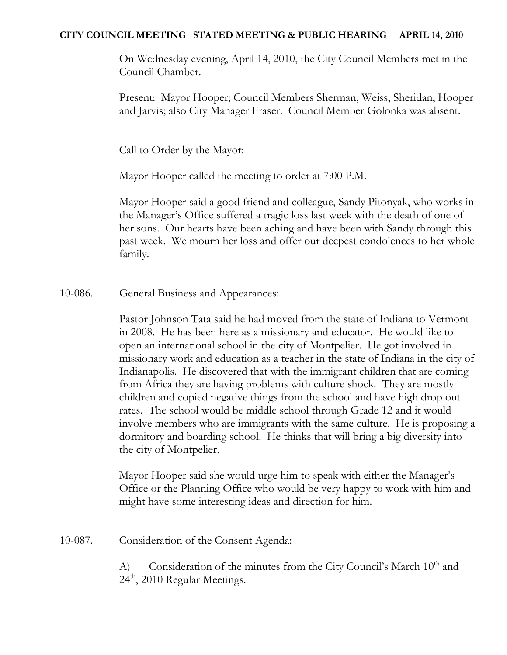### **CITY COUNCIL MEETING STATED MEETING & PUBLIC HEARING APRIL 14, 2010**

On Wednesday evening, April 14, 2010, the City Council Members met in the Council Chamber.

Present: Mayor Hooper; Council Members Sherman, Weiss, Sheridan, Hooper and Jarvis; also City Manager Fraser. Council Member Golonka was absent.

Call to Order by the Mayor:

Mayor Hooper called the meeting to order at 7:00 P.M.

Mayor Hooper said a good friend and colleague, Sandy Pitonyak, who works in the Manager's Office suffered a tragic loss last week with the death of one of her sons. Our hearts have been aching and have been with Sandy through this past week. We mourn her loss and offer our deepest condolences to her whole family.

10-086. General Business and Appearances:

Pastor Johnson Tata said he had moved from the state of Indiana to Vermont in 2008. He has been here as a missionary and educator. He would like to open an international school in the city of Montpelier. He got involved in missionary work and education as a teacher in the state of Indiana in the city of Indianapolis. He discovered that with the immigrant children that are coming from Africa they are having problems with culture shock. They are mostly children and copied negative things from the school and have high drop out rates. The school would be middle school through Grade 12 and it would involve members who are immigrants with the same culture. He is proposing a dormitory and boarding school. He thinks that will bring a big diversity into the city of Montpelier.

Mayor Hooper said she would urge him to speak with either the Manager's Office or the Planning Office who would be very happy to work with him and might have some interesting ideas and direction for him.

10-087. Consideration of the Consent Agenda:

A) Consideration of the minutes from the City Council's March  $10<sup>th</sup>$  and 24<sup>th</sup>, 2010 Regular Meetings.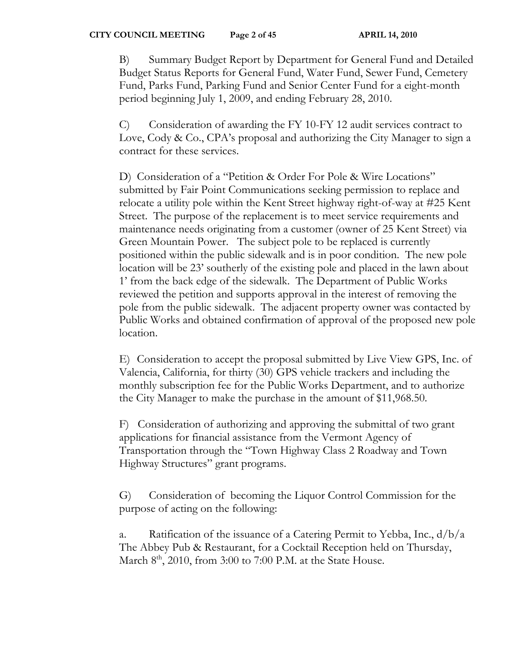B) Summary Budget Report by Department for General Fund and Detailed Budget Status Reports for General Fund, Water Fund, Sewer Fund, Cemetery Fund, Parks Fund, Parking Fund and Senior Center Fund for a eight-month period beginning July 1, 2009, and ending February 28, 2010.

C) Consideration of awarding the FY 10-FY 12 audit services contract to Love, Cody & Co., CPA's proposal and authorizing the City Manager to sign a contract for these services.

D) Consideration of a "Petition & Order For Pole & Wire Locations" submitted by Fair Point Communications seeking permission to replace and relocate a utility pole within the Kent Street highway right-of-way at #25 Kent Street. The purpose of the replacement is to meet service requirements and maintenance needs originating from a customer (owner of 25 Kent Street) via Green Mountain Power. The subject pole to be replaced is currently positioned within the public sidewalk and is in poor condition. The new pole location will be 23' southerly of the existing pole and placed in the lawn about 1' from the back edge of the sidewalk. The Department of Public Works reviewed the petition and supports approval in the interest of removing the pole from the public sidewalk. The adjacent property owner was contacted by Public Works and obtained confirmation of approval of the proposed new pole location.

E) Consideration to accept the proposal submitted by Live View GPS, Inc. of Valencia, California, for thirty (30) GPS vehicle trackers and including the monthly subscription fee for the Public Works Department, and to authorize the City Manager to make the purchase in the amount of \$11,968.50.

F) Consideration of authorizing and approving the submittal of two grant applications for financial assistance from the Vermont Agency of Transportation through the "Town Highway Class 2 Roadway and Town Highway Structures" grant programs.

G) Consideration of becoming the Liquor Control Commission for the purpose of acting on the following:

a. Ratification of the issuance of a Catering Permit to Yebba, Inc.,  $d/b/a$ The Abbey Pub & Restaurant, for a Cocktail Reception held on Thursday, March  $8<sup>th</sup>$ , 2010, from 3:00 to 7:00 P.M. at the State House.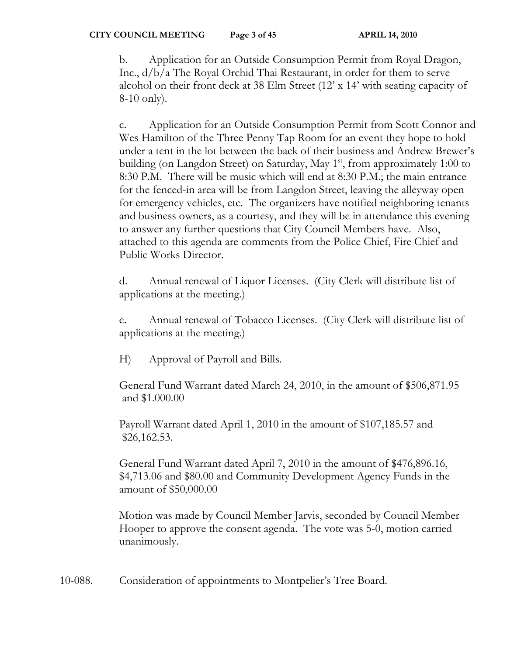b. Application for an Outside Consumption Permit from Royal Dragon, Inc., d/b/a The Royal Orchid Thai Restaurant, in order for them to serve alcohol on their front deck at 38 Elm Street (12' x 14' with seating capacity of 8-10 only).

c. Application for an Outside Consumption Permit from Scott Connor and Wes Hamilton of the Three Penny Tap Room for an event they hope to hold under a tent in the lot between the back of their business and Andrew Brewer's building (on Langdon Street) on Saturday, May  $1<sup>st</sup>$ , from approximately 1:00 to 8:30 P.M. There will be music which will end at 8:30 P.M.; the main entrance for the fenced-in area will be from Langdon Street, leaving the alleyway open for emergency vehicles, etc. The organizers have notified neighboring tenants and business owners, as a courtesy, and they will be in attendance this evening to answer any further questions that City Council Members have. Also, attached to this agenda are comments from the Police Chief, Fire Chief and Public Works Director.

d. Annual renewal of Liquor Licenses. (City Clerk will distribute list of applications at the meeting.)

e. Annual renewal of Tobacco Licenses. (City Clerk will distribute list of applications at the meeting.)

H) Approval of Payroll and Bills.

 General Fund Warrant dated March 24, 2010, in the amount of \$506,871.95 and \$1.000.00

 Payroll Warrant dated April 1, 2010 in the amount of \$107,185.57 and \$26,162.53.

 General Fund Warrant dated April 7, 2010 in the amount of \$476,896.16, \$4,713.06 and \$80.00 and Community Development Agency Funds in the amount of \$50,000.00

Motion was made by Council Member Jarvis, seconded by Council Member Hooper to approve the consent agenda. The vote was 5-0, motion carried unanimously.

10-088. Consideration of appointments to Montpelier's Tree Board.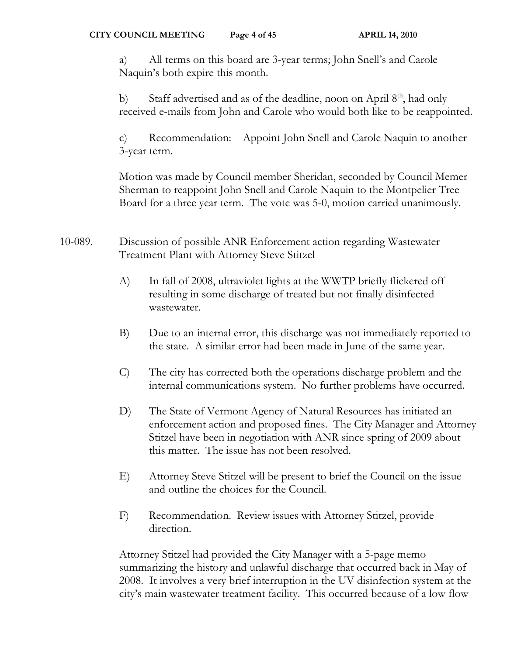a) All terms on this board are 3-year terms; John Snell's and Carole Naquin's both expire this month.

b) Staff advertised and as of the deadline, noon on April  $8<sup>th</sup>$ , had only received e-mails from John and Carole who would both like to be reappointed.

c) Recommendation: Appoint John Snell and Carole Naquin to another 3-year term.

Motion was made by Council member Sheridan, seconded by Council Memer Sherman to reappoint John Snell and Carole Naquin to the Montpelier Tree Board for a three year term. The vote was 5-0, motion carried unanimously.

- 10-089. Discussion of possible ANR Enforcement action regarding Wastewater Treatment Plant with Attorney Steve Stitzel
	- A) In fall of 2008, ultraviolet lights at the WWTP briefly flickered off resulting in some discharge of treated but not finally disinfected wastewater.
	- B) Due to an internal error, this discharge was not immediately reported to the state. A similar error had been made in June of the same year.
	- C) The city has corrected both the operations discharge problem and the internal communications system. No further problems have occurred.
	- D) The State of Vermont Agency of Natural Resources has initiated an enforcement action and proposed fines. The City Manager and Attorney Stitzel have been in negotiation with ANR since spring of 2009 about this matter. The issue has not been resolved.
	- E) Attorney Steve Stitzel will be present to brief the Council on the issue and outline the choices for the Council.
	- F) Recommendation. Review issues with Attorney Stitzel, provide direction.

Attorney Stitzel had provided the City Manager with a 5-page memo summarizing the history and unlawful discharge that occurred back in May of 2008. It involves a very brief interruption in the UV disinfection system at the city's main wastewater treatment facility. This occurred because of a low flow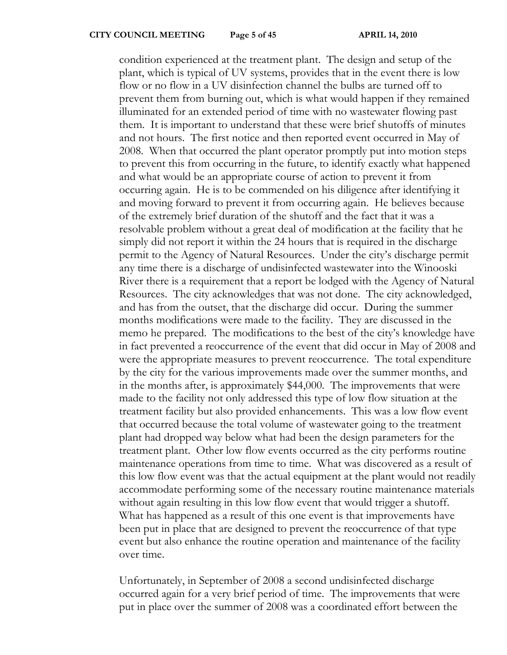condition experienced at the treatment plant. The design and setup of the plant, which is typical of UV systems, provides that in the event there is low flow or no flow in a UV disinfection channel the bulbs are turned off to prevent them from burning out, which is what would happen if they remained illuminated for an extended period of time with no wastewater flowing past them. It is important to understand that these were brief shutoffs of minutes and not hours. The first notice and then reported event occurred in May of 2008. When that occurred the plant operator promptly put into motion steps to prevent this from occurring in the future, to identify exactly what happened and what would be an appropriate course of action to prevent it from occurring again. He is to be commended on his diligence after identifying it and moving forward to prevent it from occurring again. He believes because of the extremely brief duration of the shutoff and the fact that it was a resolvable problem without a great deal of modification at the facility that he simply did not report it within the 24 hours that is required in the discharge permit to the Agency of Natural Resources. Under the city's discharge permit any time there is a discharge of undisinfected wastewater into the Winooski River there is a requirement that a report be lodged with the Agency of Natural Resources. The city acknowledges that was not done. The city acknowledged, and has from the outset, that the discharge did occur. During the summer months modifications were made to the facility. They are discussed in the memo he prepared. The modifications to the best of the city's knowledge have in fact prevented a reoccurrence of the event that did occur in May of 2008 and were the appropriate measures to prevent reoccurrence. The total expenditure by the city for the various improvements made over the summer months, and in the months after, is approximately \$44,000. The improvements that were made to the facility not only addressed this type of low flow situation at the treatment facility but also provided enhancements. This was a low flow event that occurred because the total volume of wastewater going to the treatment plant had dropped way below what had been the design parameters for the treatment plant. Other low flow events occurred as the city performs routine maintenance operations from time to time. What was discovered as a result of this low flow event was that the actual equipment at the plant would not readily accommodate performing some of the necessary routine maintenance materials without again resulting in this low flow event that would trigger a shutoff. What has happened as a result of this one event is that improvements have been put in place that are designed to prevent the reoccurrence of that type event but also enhance the routine operation and maintenance of the facility over time.

Unfortunately, in September of 2008 a second undisinfected discharge occurred again for a very brief period of time. The improvements that were put in place over the summer of 2008 was a coordinated effort between the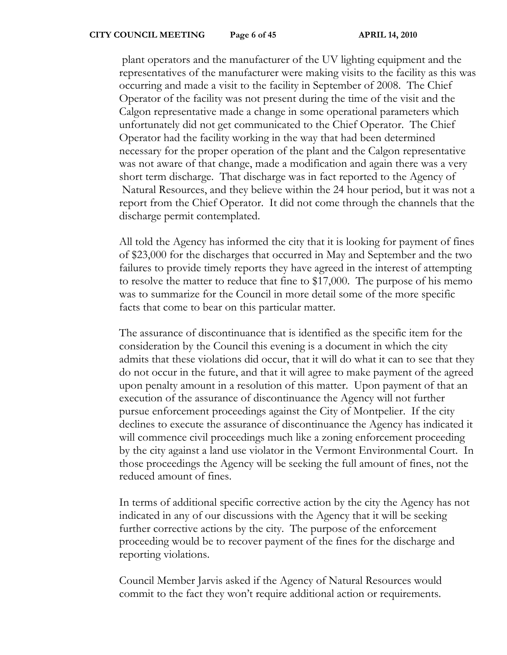plant operators and the manufacturer of the UV lighting equipment and the representatives of the manufacturer were making visits to the facility as this was occurring and made a visit to the facility in September of 2008. The Chief Operator of the facility was not present during the time of the visit and the Calgon representative made a change in some operational parameters which unfortunately did not get communicated to the Chief Operator. The Chief Operator had the facility working in the way that had been determined necessary for the proper operation of the plant and the Calgon representative was not aware of that change, made a modification and again there was a very short term discharge. That discharge was in fact reported to the Agency of Natural Resources, and they believe within the 24 hour period, but it was not a report from the Chief Operator. It did not come through the channels that the discharge permit contemplated.

All told the Agency has informed the city that it is looking for payment of fines of \$23,000 for the discharges that occurred in May and September and the two failures to provide timely reports they have agreed in the interest of attempting to resolve the matter to reduce that fine to \$17,000. The purpose of his memo was to summarize for the Council in more detail some of the more specific facts that come to bear on this particular matter.

The assurance of discontinuance that is identified as the specific item for the consideration by the Council this evening is a document in which the city admits that these violations did occur, that it will do what it can to see that they do not occur in the future, and that it will agree to make payment of the agreed upon penalty amount in a resolution of this matter. Upon payment of that an execution of the assurance of discontinuance the Agency will not further pursue enforcement proceedings against the City of Montpelier. If the city declines to execute the assurance of discontinuance the Agency has indicated it will commence civil proceedings much like a zoning enforcement proceeding by the city against a land use violator in the Vermont Environmental Court. In those proceedings the Agency will be seeking the full amount of fines, not the reduced amount of fines.

In terms of additional specific corrective action by the city the Agency has not indicated in any of our discussions with the Agency that it will be seeking further corrective actions by the city. The purpose of the enforcement proceeding would be to recover payment of the fines for the discharge and reporting violations.

Council Member Jarvis asked if the Agency of Natural Resources would commit to the fact they won't require additional action or requirements.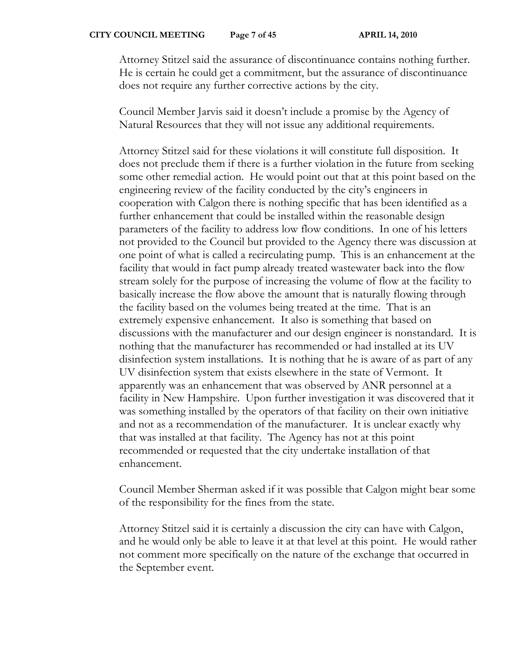Attorney Stitzel said the assurance of discontinuance contains nothing further. He is certain he could get a commitment, but the assurance of discontinuance does not require any further corrective actions by the city.

Council Member Jarvis said it doesn't include a promise by the Agency of Natural Resources that they will not issue any additional requirements.

Attorney Stitzel said for these violations it will constitute full disposition. It does not preclude them if there is a further violation in the future from seeking some other remedial action. He would point out that at this point based on the engineering review of the facility conducted by the city's engineers in cooperation with Calgon there is nothing specific that has been identified as a further enhancement that could be installed within the reasonable design parameters of the facility to address low flow conditions. In one of his letters not provided to the Council but provided to the Agency there was discussion at one point of what is called a recirculating pump. This is an enhancement at the facility that would in fact pump already treated wastewater back into the flow stream solely for the purpose of increasing the volume of flow at the facility to basically increase the flow above the amount that is naturally flowing through the facility based on the volumes being treated at the time. That is an extremely expensive enhancement. It also is something that based on discussions with the manufacturer and our design engineer is nonstandard. It is nothing that the manufacturer has recommended or had installed at its UV disinfection system installations. It is nothing that he is aware of as part of any UV disinfection system that exists elsewhere in the state of Vermont. It apparently was an enhancement that was observed by ANR personnel at a facility in New Hampshire. Upon further investigation it was discovered that it was something installed by the operators of that facility on their own initiative and not as a recommendation of the manufacturer. It is unclear exactly why that was installed at that facility. The Agency has not at this point recommended or requested that the city undertake installation of that enhancement.

Council Member Sherman asked if it was possible that Calgon might bear some of the responsibility for the fines from the state.

Attorney Stitzel said it is certainly a discussion the city can have with Calgon, and he would only be able to leave it at that level at this point. He would rather not comment more specifically on the nature of the exchange that occurred in the September event.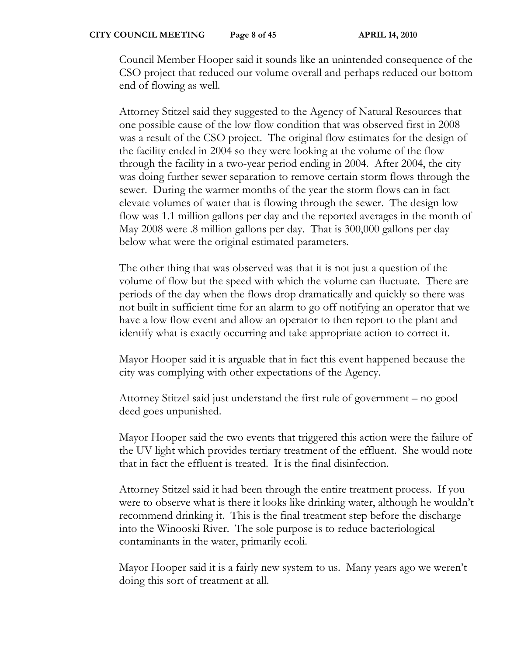Council Member Hooper said it sounds like an unintended consequence of the CSO project that reduced our volume overall and perhaps reduced our bottom end of flowing as well.

Attorney Stitzel said they suggested to the Agency of Natural Resources that one possible cause of the low flow condition that was observed first in 2008 was a result of the CSO project. The original flow estimates for the design of the facility ended in 2004 so they were looking at the volume of the flow through the facility in a two-year period ending in 2004. After 2004, the city was doing further sewer separation to remove certain storm flows through the sewer. During the warmer months of the year the storm flows can in fact elevate volumes of water that is flowing through the sewer. The design low flow was 1.1 million gallons per day and the reported averages in the month of May 2008 were .8 million gallons per day. That is 300,000 gallons per day below what were the original estimated parameters.

The other thing that was observed was that it is not just a question of the volume of flow but the speed with which the volume can fluctuate. There are periods of the day when the flows drop dramatically and quickly so there was not built in sufficient time for an alarm to go off notifying an operator that we have a low flow event and allow an operator to then report to the plant and identify what is exactly occurring and take appropriate action to correct it.

Mayor Hooper said it is arguable that in fact this event happened because the city was complying with other expectations of the Agency.

Attorney Stitzel said just understand the first rule of government – no good deed goes unpunished.

Mayor Hooper said the two events that triggered this action were the failure of the UV light which provides tertiary treatment of the effluent. She would note that in fact the effluent is treated. It is the final disinfection.

Attorney Stitzel said it had been through the entire treatment process. If you were to observe what is there it looks like drinking water, although he wouldn't recommend drinking it. This is the final treatment step before the discharge into the Winooski River. The sole purpose is to reduce bacteriological contaminants in the water, primarily ecoli.

Mayor Hooper said it is a fairly new system to us. Many years ago we weren't doing this sort of treatment at all.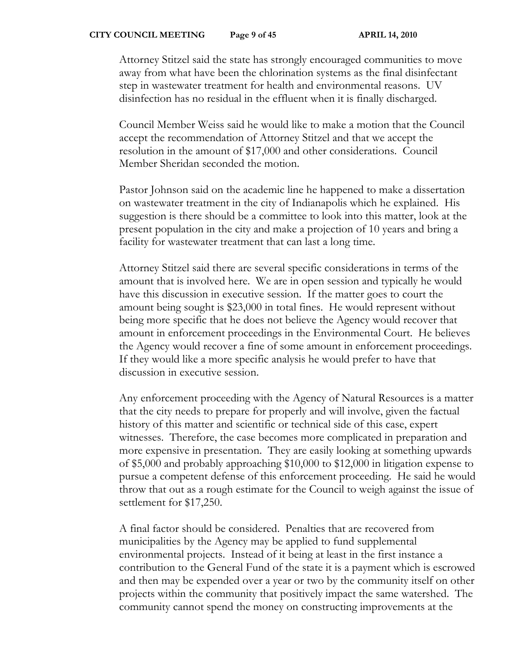Attorney Stitzel said the state has strongly encouraged communities to move away from what have been the chlorination systems as the final disinfectant step in wastewater treatment for health and environmental reasons. UV disinfection has no residual in the effluent when it is finally discharged.

Council Member Weiss said he would like to make a motion that the Council accept the recommendation of Attorney Stitzel and that we accept the resolution in the amount of \$17,000 and other considerations. Council Member Sheridan seconded the motion.

Pastor Johnson said on the academic line he happened to make a dissertation on wastewater treatment in the city of Indianapolis which he explained. His suggestion is there should be a committee to look into this matter, look at the present population in the city and make a projection of 10 years and bring a facility for wastewater treatment that can last a long time.

Attorney Stitzel said there are several specific considerations in terms of the amount that is involved here. We are in open session and typically he would have this discussion in executive session. If the matter goes to court the amount being sought is \$23,000 in total fines. He would represent without being more specific that he does not believe the Agency would recover that amount in enforcement proceedings in the Environmental Court. He believes the Agency would recover a fine of some amount in enforcement proceedings. If they would like a more specific analysis he would prefer to have that discussion in executive session.

Any enforcement proceeding with the Agency of Natural Resources is a matter that the city needs to prepare for properly and will involve, given the factual history of this matter and scientific or technical side of this case, expert witnesses. Therefore, the case becomes more complicated in preparation and more expensive in presentation. They are easily looking at something upwards of \$5,000 and probably approaching \$10,000 to \$12,000 in litigation expense to pursue a competent defense of this enforcement proceeding. He said he would throw that out as a rough estimate for the Council to weigh against the issue of settlement for \$17,250.

A final factor should be considered. Penalties that are recovered from municipalities by the Agency may be applied to fund supplemental environmental projects. Instead of it being at least in the first instance a contribution to the General Fund of the state it is a payment which is escrowed and then may be expended over a year or two by the community itself on other projects within the community that positively impact the same watershed. The community cannot spend the money on constructing improvements at the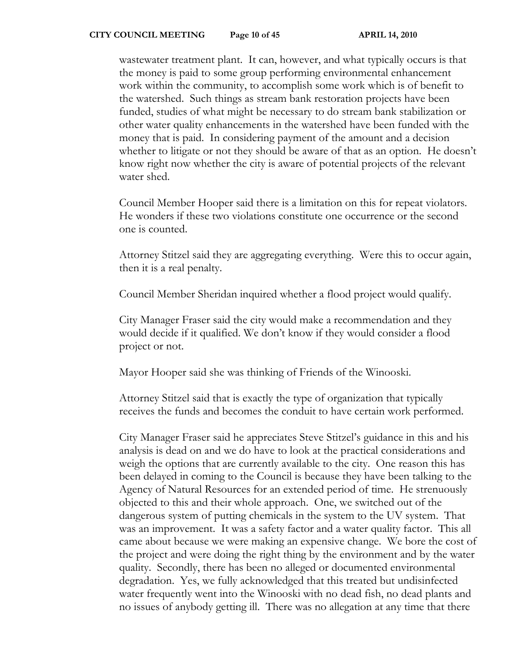wastewater treatment plant. It can, however, and what typically occurs is that the money is paid to some group performing environmental enhancement work within the community, to accomplish some work which is of benefit to the watershed. Such things as stream bank restoration projects have been funded, studies of what might be necessary to do stream bank stabilization or other water quality enhancements in the watershed have been funded with the money that is paid. In considering payment of the amount and a decision whether to litigate or not they should be aware of that as an option. He doesn't know right now whether the city is aware of potential projects of the relevant water shed.

Council Member Hooper said there is a limitation on this for repeat violators. He wonders if these two violations constitute one occurrence or the second one is counted.

Attorney Stitzel said they are aggregating everything. Were this to occur again, then it is a real penalty.

Council Member Sheridan inquired whether a flood project would qualify.

City Manager Fraser said the city would make a recommendation and they would decide if it qualified. We don't know if they would consider a flood project or not.

Mayor Hooper said she was thinking of Friends of the Winooski.

Attorney Stitzel said that is exactly the type of organization that typically receives the funds and becomes the conduit to have certain work performed.

City Manager Fraser said he appreciates Steve Stitzel's guidance in this and his analysis is dead on and we do have to look at the practical considerations and weigh the options that are currently available to the city. One reason this has been delayed in coming to the Council is because they have been talking to the Agency of Natural Resources for an extended period of time. He strenuously objected to this and their whole approach. One, we switched out of the dangerous system of putting chemicals in the system to the UV system. That was an improvement. It was a safety factor and a water quality factor. This all came about because we were making an expensive change. We bore the cost of the project and were doing the right thing by the environment and by the water quality. Secondly, there has been no alleged or documented environmental degradation. Yes, we fully acknowledged that this treated but undisinfected water frequently went into the Winooski with no dead fish, no dead plants and no issues of anybody getting ill. There was no allegation at any time that there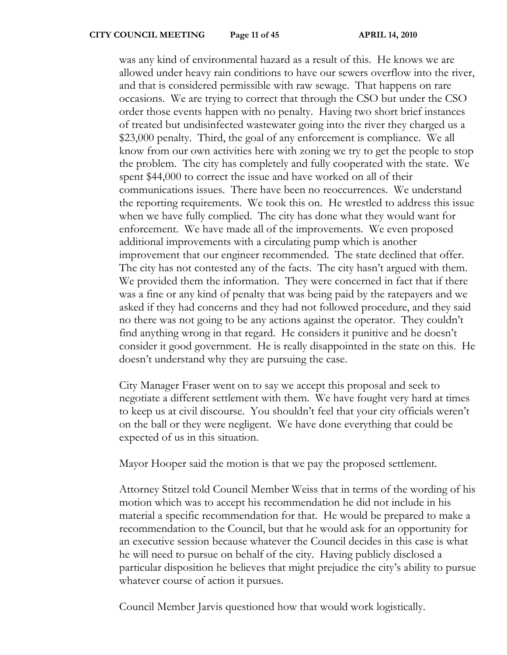was any kind of environmental hazard as a result of this. He knows we are allowed under heavy rain conditions to have our sewers overflow into the river, and that is considered permissible with raw sewage. That happens on rare occasions. We are trying to correct that through the CSO but under the CSO order those events happen with no penalty. Having two short brief instances of treated but undisinfected wastewater going into the river they charged us a \$23,000 penalty. Third, the goal of any enforcement is compliance. We all know from our own activities here with zoning we try to get the people to stop the problem. The city has completely and fully cooperated with the state. We spent \$44,000 to correct the issue and have worked on all of their communications issues. There have been no reoccurrences. We understand the reporting requirements. We took this on. He wrestled to address this issue when we have fully complied. The city has done what they would want for enforcement. We have made all of the improvements. We even proposed additional improvements with a circulating pump which is another improvement that our engineer recommended. The state declined that offer. The city has not contested any of the facts. The city hasn't argued with them. We provided them the information. They were concerned in fact that if there was a fine or any kind of penalty that was being paid by the ratepayers and we asked if they had concerns and they had not followed procedure, and they said no there was not going to be any actions against the operator. They couldn't find anything wrong in that regard. He considers it punitive and he doesn't consider it good government. He is really disappointed in the state on this. He doesn't understand why they are pursuing the case.

City Manager Fraser went on to say we accept this proposal and seek to negotiate a different settlement with them. We have fought very hard at times to keep us at civil discourse. You shouldn't feel that your city officials weren't on the ball or they were negligent. We have done everything that could be expected of us in this situation.

Mayor Hooper said the motion is that we pay the proposed settlement.

Attorney Stitzel told Council Member Weiss that in terms of the wording of his motion which was to accept his recommendation he did not include in his material a specific recommendation for that. He would be prepared to make a recommendation to the Council, but that he would ask for an opportunity for an executive session because whatever the Council decides in this case is what he will need to pursue on behalf of the city. Having publicly disclosed a particular disposition he believes that might prejudice the city's ability to pursue whatever course of action it pursues.

Council Member Jarvis questioned how that would work logistically.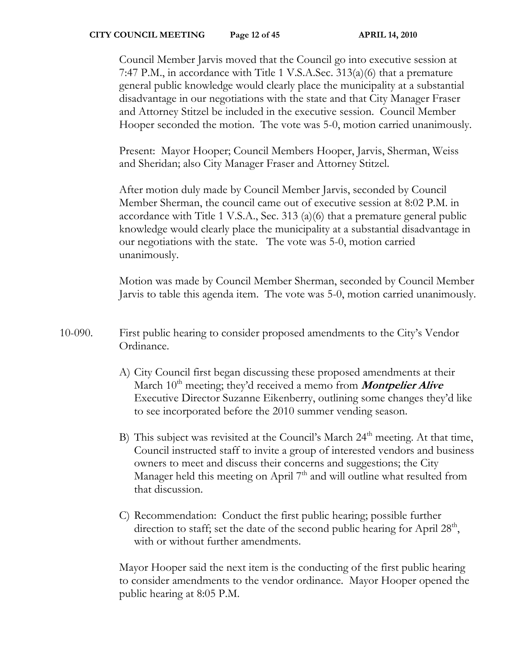Council Member Jarvis moved that the Council go into executive session at 7:47 P.M., in accordance with Title 1 V.S.A.Sec. 313(a)(6) that a premature general public knowledge would clearly place the municipality at a substantial disadvantage in our negotiations with the state and that City Manager Fraser and Attorney Stitzel be included in the executive session. Council Member Hooper seconded the motion. The vote was 5-0, motion carried unanimously.

Present: Mayor Hooper; Council Members Hooper, Jarvis, Sherman, Weiss and Sheridan; also City Manager Fraser and Attorney Stitzel.

After motion duly made by Council Member Jarvis, seconded by Council Member Sherman, the council came out of executive session at 8:02 P.M. in accordance with Title 1 V.S.A., Sec. 313 (a)(6) that a premature general public knowledge would clearly place the municipality at a substantial disadvantage in our negotiations with the state. The vote was 5-0, motion carried unanimously.

Motion was made by Council Member Sherman, seconded by Council Member Jarvis to table this agenda item. The vote was 5-0, motion carried unanimously.

- 10-090. First public hearing to consider proposed amendments to the City's Vendor Ordinance.
	- A) City Council first began discussing these proposed amendments at their March 10<sup>th</sup> meeting; they'd received a memo from **Montpelier Alive** Executive Director Suzanne Eikenberry, outlining some changes they'd like to see incorporated before the 2010 summer vending season.
	- B) This subject was revisited at the Council's March 24<sup>th</sup> meeting. At that time, Council instructed staff to invite a group of interested vendors and business owners to meet and discuss their concerns and suggestions; the City Manager held this meeting on April  $7<sup>th</sup>$  and will outline what resulted from that discussion.
	- C) Recommendation: Conduct the first public hearing; possible further direction to staff; set the date of the second public hearing for April  $28<sup>th</sup>$ , with or without further amendments.

Mayor Hooper said the next item is the conducting of the first public hearing to consider amendments to the vendor ordinance. Mayor Hooper opened the public hearing at 8:05 P.M.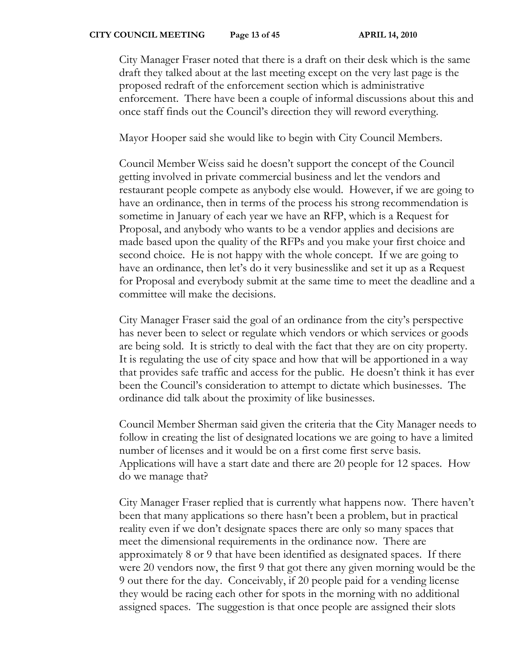City Manager Fraser noted that there is a draft on their desk which is the same draft they talked about at the last meeting except on the very last page is the proposed redraft of the enforcement section which is administrative enforcement. There have been a couple of informal discussions about this and once staff finds out the Council's direction they will reword everything.

Mayor Hooper said she would like to begin with City Council Members.

Council Member Weiss said he doesn't support the concept of the Council getting involved in private commercial business and let the vendors and restaurant people compete as anybody else would. However, if we are going to have an ordinance, then in terms of the process his strong recommendation is sometime in January of each year we have an RFP, which is a Request for Proposal, and anybody who wants to be a vendor applies and decisions are made based upon the quality of the RFPs and you make your first choice and second choice. He is not happy with the whole concept. If we are going to have an ordinance, then let's do it very businesslike and set it up as a Request for Proposal and everybody submit at the same time to meet the deadline and a committee will make the decisions.

City Manager Fraser said the goal of an ordinance from the city's perspective has never been to select or regulate which vendors or which services or goods are being sold. It is strictly to deal with the fact that they are on city property. It is regulating the use of city space and how that will be apportioned in a way that provides safe traffic and access for the public. He doesn't think it has ever been the Council's consideration to attempt to dictate which businesses. The ordinance did talk about the proximity of like businesses.

Council Member Sherman said given the criteria that the City Manager needs to follow in creating the list of designated locations we are going to have a limited number of licenses and it would be on a first come first serve basis. Applications will have a start date and there are 20 people for 12 spaces. How do we manage that?

City Manager Fraser replied that is currently what happens now. There haven't been that many applications so there hasn't been a problem, but in practical reality even if we don't designate spaces there are only so many spaces that meet the dimensional requirements in the ordinance now. There are approximately 8 or 9 that have been identified as designated spaces. If there were 20 vendors now, the first 9 that got there any given morning would be the 9 out there for the day. Conceivably, if 20 people paid for a vending license they would be racing each other for spots in the morning with no additional assigned spaces. The suggestion is that once people are assigned their slots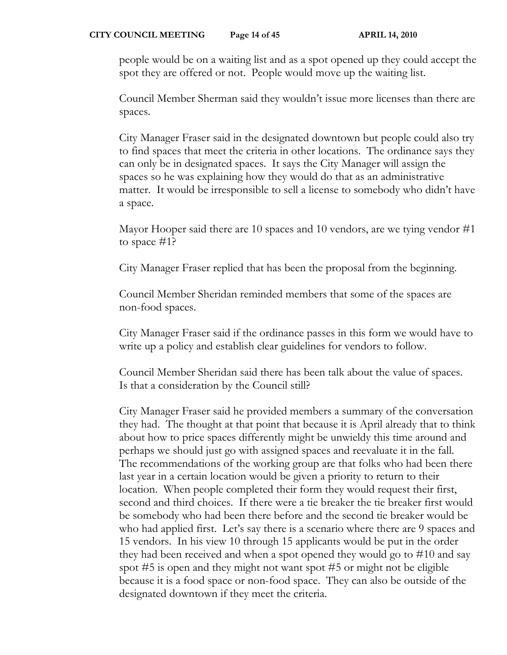people would be on a waiting list and as a spot opened up they could accept the spot they are offered or not. People would move up the waiting list.

Council Member Sherman said they wouldn't issue more licenses than there are spaces.

City Manager Fraser said in the designated downtown but people could also try to find spaces that meet the criteria in other locations. The ordinance says they can only be in designated spaces. It says the City Manager will assign the spaces so he was explaining how they would do that as an administrative matter. It would be irresponsible to sell a license to somebody who didn't have a space.

Mayor Hooper said there are 10 spaces and 10 vendors, are we tying vendor #1 to space #1?

City Manager Fraser replied that has been the proposal from the beginning.

Council Member Sheridan reminded members that some of the spaces are non-food spaces.

City Manager Fraser said if the ordinance passes in this form we would have to write up a policy and establish clear guidelines for vendors to follow.

Council Member Sheridan said there has been talk about the value of spaces. Is that a consideration by the Council still?

City Manager Fraser said he provided members a summary of the conversation they had. The thought at that point that because it is April already that to think about how to price spaces differently might be unwieldy this time around and perhaps we should just go with assigned spaces and reevaluate it in the fall. The recommendations of the working group are that folks who had been there last year in a certain location would be given a priority to return to their location. When people completed their form they would request their first, second and third choices. If there were a tie breaker the tie breaker first would be somebody who had been there before and the second tie breaker would be who had applied first. Let's say there is a scenario where there are 9 spaces and 15 vendors. In his view 10 through 15 applicants would be put in the order they had been received and when a spot opened they would go to #10 and say spot #5 is open and they might not want spot #5 or might not be eligible because it is a food space or non-food space. They can also be outside of the designated downtown if they meet the criteria.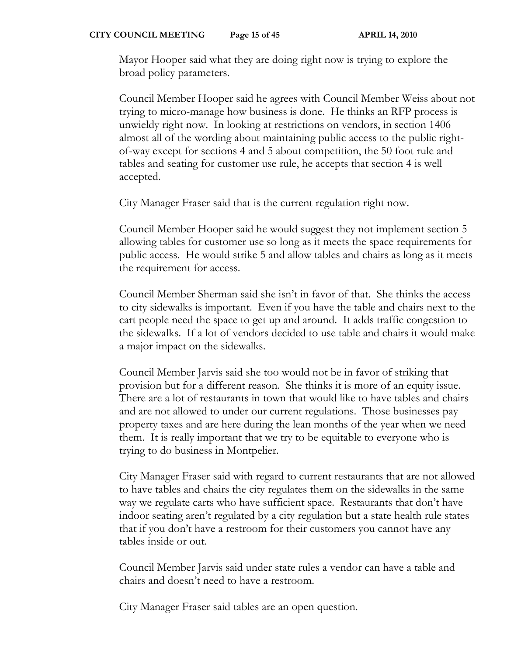Mayor Hooper said what they are doing right now is trying to explore the broad policy parameters.

Council Member Hooper said he agrees with Council Member Weiss about not trying to micro-manage how business is done. He thinks an RFP process is unwieldy right now. In looking at restrictions on vendors, in section 1406 almost all of the wording about maintaining public access to the public rightof-way except for sections 4 and 5 about competition, the 50 foot rule and tables and seating for customer use rule, he accepts that section 4 is well accepted.

City Manager Fraser said that is the current regulation right now.

Council Member Hooper said he would suggest they not implement section 5 allowing tables for customer use so long as it meets the space requirements for public access. He would strike 5 and allow tables and chairs as long as it meets the requirement for access.

Council Member Sherman said she isn't in favor of that. She thinks the access to city sidewalks is important. Even if you have the table and chairs next to the cart people need the space to get up and around. It adds traffic congestion to the sidewalks. If a lot of vendors decided to use table and chairs it would make a major impact on the sidewalks.

Council Member Jarvis said she too would not be in favor of striking that provision but for a different reason. She thinks it is more of an equity issue. There are a lot of restaurants in town that would like to have tables and chairs and are not allowed to under our current regulations. Those businesses pay property taxes and are here during the lean months of the year when we need them. It is really important that we try to be equitable to everyone who is trying to do business in Montpelier.

City Manager Fraser said with regard to current restaurants that are not allowed to have tables and chairs the city regulates them on the sidewalks in the same way we regulate carts who have sufficient space. Restaurants that don't have indoor seating aren't regulated by a city regulation but a state health rule states that if you don't have a restroom for their customers you cannot have any tables inside or out.

Council Member Jarvis said under state rules a vendor can have a table and chairs and doesn't need to have a restroom.

City Manager Fraser said tables are an open question.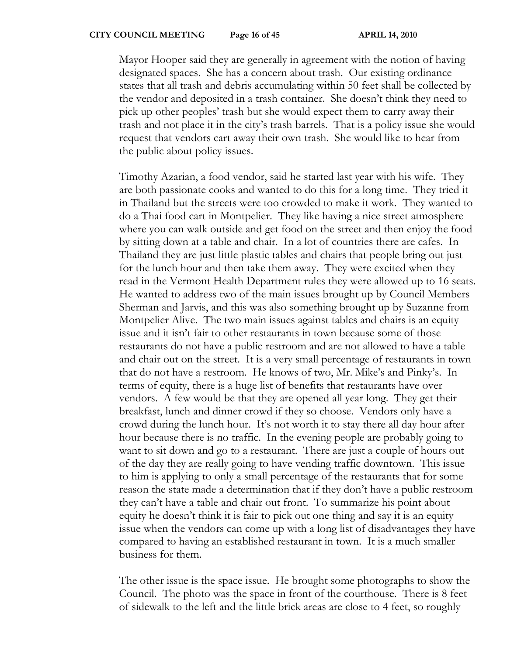Mayor Hooper said they are generally in agreement with the notion of having designated spaces. She has a concern about trash. Our existing ordinance states that all trash and debris accumulating within 50 feet shall be collected by the vendor and deposited in a trash container. She doesn't think they need to pick up other peoples' trash but she would expect them to carry away their trash and not place it in the city's trash barrels. That is a policy issue she would request that vendors cart away their own trash. She would like to hear from the public about policy issues.

Timothy Azarian, a food vendor, said he started last year with his wife. They are both passionate cooks and wanted to do this for a long time. They tried it in Thailand but the streets were too crowded to make it work. They wanted to do a Thai food cart in Montpelier. They like having a nice street atmosphere where you can walk outside and get food on the street and then enjoy the food by sitting down at a table and chair. In a lot of countries there are cafes. In Thailand they are just little plastic tables and chairs that people bring out just for the lunch hour and then take them away. They were excited when they read in the Vermont Health Department rules they were allowed up to 16 seats. He wanted to address two of the main issues brought up by Council Members Sherman and Jarvis, and this was also something brought up by Suzanne from Montpelier Alive. The two main issues against tables and chairs is an equity issue and it isn't fair to other restaurants in town because some of those restaurants do not have a public restroom and are not allowed to have a table and chair out on the street. It is a very small percentage of restaurants in town that do not have a restroom. He knows of two, Mr. Mike's and Pinky's. In terms of equity, there is a huge list of benefits that restaurants have over vendors. A few would be that they are opened all year long. They get their breakfast, lunch and dinner crowd if they so choose. Vendors only have a crowd during the lunch hour. It's not worth it to stay there all day hour after hour because there is no traffic. In the evening people are probably going to want to sit down and go to a restaurant. There are just a couple of hours out of the day they are really going to have vending traffic downtown. This issue to him is applying to only a small percentage of the restaurants that for some reason the state made a determination that if they don't have a public restroom they can't have a table and chair out front. To summarize his point about equity he doesn't think it is fair to pick out one thing and say it is an equity issue when the vendors can come up with a long list of disadvantages they have compared to having an established restaurant in town. It is a much smaller business for them.

The other issue is the space issue. He brought some photographs to show the Council. The photo was the space in front of the courthouse. There is 8 feet of sidewalk to the left and the little brick areas are close to 4 feet, so roughly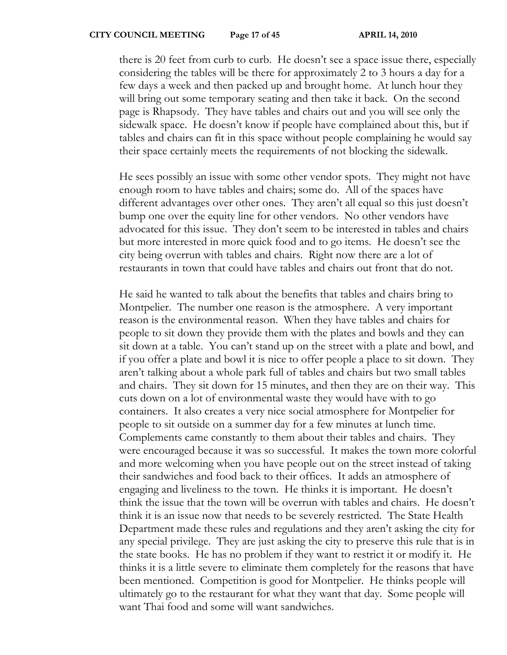there is 20 feet from curb to curb. He doesn't see a space issue there, especially considering the tables will be there for approximately 2 to 3 hours a day for a few days a week and then packed up and brought home. At lunch hour they will bring out some temporary seating and then take it back. On the second page is Rhapsody. They have tables and chairs out and you will see only the sidewalk space. He doesn't know if people have complained about this, but if tables and chairs can fit in this space without people complaining he would say their space certainly meets the requirements of not blocking the sidewalk.

He sees possibly an issue with some other vendor spots. They might not have enough room to have tables and chairs; some do. All of the spaces have different advantages over other ones. They aren't all equal so this just doesn't bump one over the equity line for other vendors. No other vendors have advocated for this issue. They don't seem to be interested in tables and chairs but more interested in more quick food and to go items. He doesn't see the city being overrun with tables and chairs. Right now there are a lot of restaurants in town that could have tables and chairs out front that do not.

He said he wanted to talk about the benefits that tables and chairs bring to Montpelier. The number one reason is the atmosphere. A very important reason is the environmental reason. When they have tables and chairs for people to sit down they provide them with the plates and bowls and they can sit down at a table. You can't stand up on the street with a plate and bowl, and if you offer a plate and bowl it is nice to offer people a place to sit down. They aren't talking about a whole park full of tables and chairs but two small tables and chairs. They sit down for 15 minutes, and then they are on their way. This cuts down on a lot of environmental waste they would have with to go containers. It also creates a very nice social atmosphere for Montpelier for people to sit outside on a summer day for a few minutes at lunch time. Complements came constantly to them about their tables and chairs. They were encouraged because it was so successful. It makes the town more colorful and more welcoming when you have people out on the street instead of taking their sandwiches and food back to their offices. It adds an atmosphere of engaging and liveliness to the town. He thinks it is important. He doesn't think the issue that the town will be overrun with tables and chairs. He doesn't think it is an issue now that needs to be severely restricted. The State Health Department made these rules and regulations and they aren't asking the city for any special privilege. They are just asking the city to preserve this rule that is in the state books. He has no problem if they want to restrict it or modify it. He thinks it is a little severe to eliminate them completely for the reasons that have been mentioned. Competition is good for Montpelier. He thinks people will ultimately go to the restaurant for what they want that day. Some people will want Thai food and some will want sandwiches.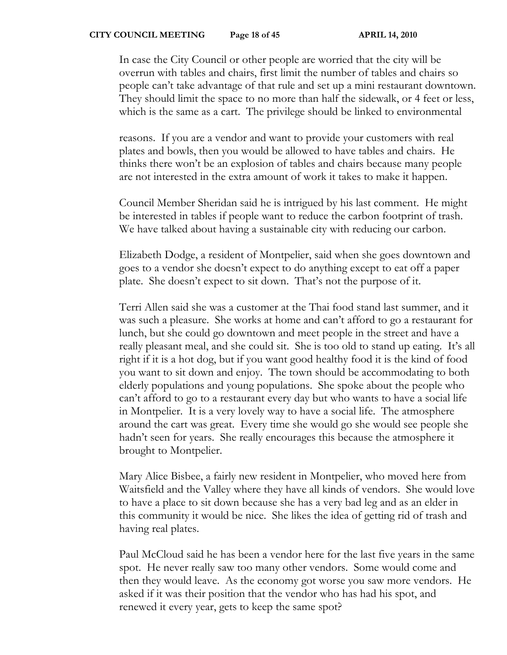In case the City Council or other people are worried that the city will be overrun with tables and chairs, first limit the number of tables and chairs so people can't take advantage of that rule and set up a mini restaurant downtown. They should limit the space to no more than half the sidewalk, or 4 feet or less, which is the same as a cart. The privilege should be linked to environmental

reasons. If you are a vendor and want to provide your customers with real plates and bowls, then you would be allowed to have tables and chairs. He thinks there won't be an explosion of tables and chairs because many people are not interested in the extra amount of work it takes to make it happen.

Council Member Sheridan said he is intrigued by his last comment. He might be interested in tables if people want to reduce the carbon footprint of trash. We have talked about having a sustainable city with reducing our carbon.

Elizabeth Dodge, a resident of Montpelier, said when she goes downtown and goes to a vendor she doesn't expect to do anything except to eat off a paper plate. She doesn't expect to sit down. That's not the purpose of it.

Terri Allen said she was a customer at the Thai food stand last summer, and it was such a pleasure. She works at home and can't afford to go a restaurant for lunch, but she could go downtown and meet people in the street and have a really pleasant meal, and she could sit. She is too old to stand up eating. It's all right if it is a hot dog, but if you want good healthy food it is the kind of food you want to sit down and enjoy. The town should be accommodating to both elderly populations and young populations. She spoke about the people who can't afford to go to a restaurant every day but who wants to have a social life in Montpelier. It is a very lovely way to have a social life. The atmosphere around the cart was great. Every time she would go she would see people she hadn't seen for years. She really encourages this because the atmosphere it brought to Montpelier.

Mary Alice Bisbee, a fairly new resident in Montpelier, who moved here from Waitsfield and the Valley where they have all kinds of vendors. She would love to have a place to sit down because she has a very bad leg and as an elder in this community it would be nice. She likes the idea of getting rid of trash and having real plates.

Paul McCloud said he has been a vendor here for the last five years in the same spot. He never really saw too many other vendors. Some would come and then they would leave. As the economy got worse you saw more vendors. He asked if it was their position that the vendor who has had his spot, and renewed it every year, gets to keep the same spot?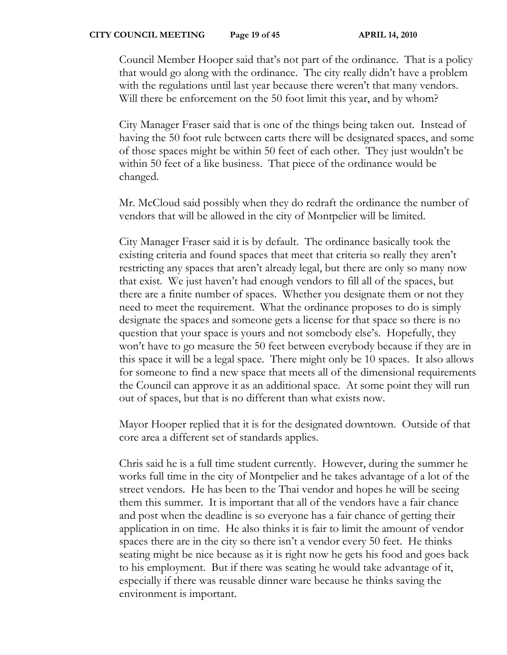Council Member Hooper said that's not part of the ordinance. That is a policy that would go along with the ordinance. The city really didn't have a problem with the regulations until last year because there weren't that many vendors. Will there be enforcement on the 50 foot limit this year, and by whom?

City Manager Fraser said that is one of the things being taken out. Instead of having the 50 foot rule between carts there will be designated spaces, and some of those spaces might be within 50 feet of each other. They just wouldn't be within 50 feet of a like business. That piece of the ordinance would be changed.

Mr. McCloud said possibly when they do redraft the ordinance the number of vendors that will be allowed in the city of Montpelier will be limited.

City Manager Fraser said it is by default. The ordinance basically took the existing criteria and found spaces that meet that criteria so really they aren't restricting any spaces that aren't already legal, but there are only so many now that exist. We just haven't had enough vendors to fill all of the spaces, but there are a finite number of spaces. Whether you designate them or not they need to meet the requirement. What the ordinance proposes to do is simply designate the spaces and someone gets a license for that space so there is no question that your space is yours and not somebody else's. Hopefully, they won't have to go measure the 50 feet between everybody because if they are in this space it will be a legal space. There might only be 10 spaces. It also allows for someone to find a new space that meets all of the dimensional requirements the Council can approve it as an additional space. At some point they will run out of spaces, but that is no different than what exists now.

Mayor Hooper replied that it is for the designated downtown. Outside of that core area a different set of standards applies.

Chris said he is a full time student currently. However, during the summer he works full time in the city of Montpelier and he takes advantage of a lot of the street vendors. He has been to the Thai vendor and hopes he will be seeing them this summer. It is important that all of the vendors have a fair chance and post when the deadline is so everyone has a fair chance of getting their application in on time. He also thinks it is fair to limit the amount of vendor spaces there are in the city so there isn't a vendor every 50 feet. He thinks seating might be nice because as it is right now he gets his food and goes back to his employment. But if there was seating he would take advantage of it, especially if there was reusable dinner ware because he thinks saving the environment is important.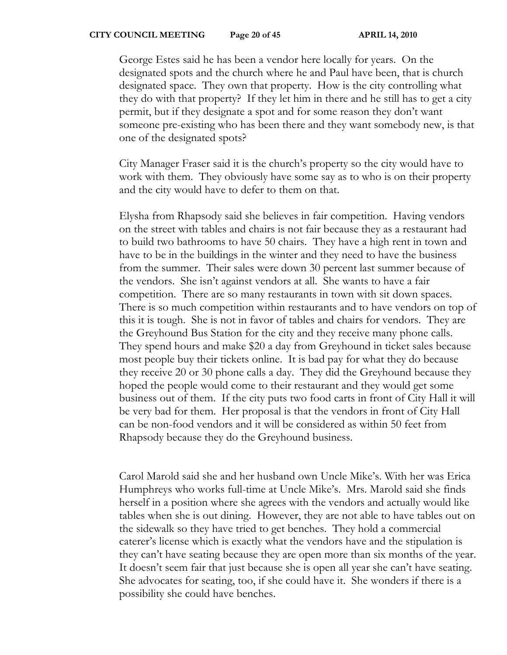#### **CITY COUNCIL MEETING** Page 20 of 45 APRIL 14, 2010

George Estes said he has been a vendor here locally for years. On the designated spots and the church where he and Paul have been, that is church designated space. They own that property. How is the city controlling what they do with that property? If they let him in there and he still has to get a city permit, but if they designate a spot and for some reason they don't want someone pre-existing who has been there and they want somebody new, is that one of the designated spots?

City Manager Fraser said it is the church's property so the city would have to work with them. They obviously have some say as to who is on their property and the city would have to defer to them on that.

Elysha from Rhapsody said she believes in fair competition. Having vendors on the street with tables and chairs is not fair because they as a restaurant had to build two bathrooms to have 50 chairs. They have a high rent in town and have to be in the buildings in the winter and they need to have the business from the summer. Their sales were down 30 percent last summer because of the vendors. She isn't against vendors at all. She wants to have a fair competition. There are so many restaurants in town with sit down spaces. There is so much competition within restaurants and to have vendors on top of this it is tough. She is not in favor of tables and chairs for vendors. They are the Greyhound Bus Station for the city and they receive many phone calls. They spend hours and make \$20 a day from Greyhound in ticket sales because most people buy their tickets online. It is bad pay for what they do because they receive 20 or 30 phone calls a day. They did the Greyhound because they hoped the people would come to their restaurant and they would get some business out of them. If the city puts two food carts in front of City Hall it will be very bad for them. Her proposal is that the vendors in front of City Hall can be non-food vendors and it will be considered as within 50 feet from Rhapsody because they do the Greyhound business.

Carol Marold said she and her husband own Uncle Mike's. With her was Erica Humphreys who works full-time at Uncle Mike's. Mrs. Marold said she finds herself in a position where she agrees with the vendors and actually would like tables when she is out dining. However, they are not able to have tables out on the sidewalk so they have tried to get benches. They hold a commercial caterer's license which is exactly what the vendors have and the stipulation is they can't have seating because they are open more than six months of the year. It doesn't seem fair that just because she is open all year she can't have seating. She advocates for seating, too, if she could have it. She wonders if there is a possibility she could have benches.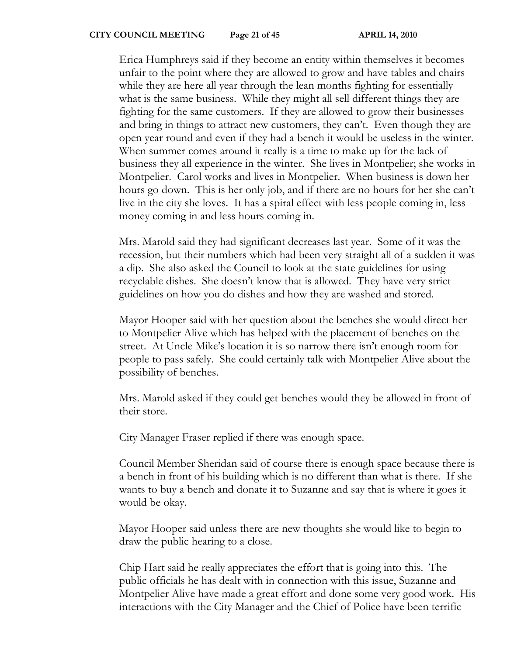Erica Humphreys said if they become an entity within themselves it becomes unfair to the point where they are allowed to grow and have tables and chairs while they are here all year through the lean months fighting for essentially what is the same business. While they might all sell different things they are fighting for the same customers. If they are allowed to grow their businesses and bring in things to attract new customers, they can't. Even though they are open year round and even if they had a bench it would be useless in the winter. When summer comes around it really is a time to make up for the lack of business they all experience in the winter. She lives in Montpelier; she works in Montpelier. Carol works and lives in Montpelier. When business is down her hours go down. This is her only job, and if there are no hours for her she can't live in the city she loves. It has a spiral effect with less people coming in, less money coming in and less hours coming in.

Mrs. Marold said they had significant decreases last year. Some of it was the recession, but their numbers which had been very straight all of a sudden it was a dip. She also asked the Council to look at the state guidelines for using recyclable dishes. She doesn't know that is allowed. They have very strict guidelines on how you do dishes and how they are washed and stored.

Mayor Hooper said with her question about the benches she would direct her to Montpelier Alive which has helped with the placement of benches on the street. At Uncle Mike's location it is so narrow there isn't enough room for people to pass safely. She could certainly talk with Montpelier Alive about the possibility of benches.

Mrs. Marold asked if they could get benches would they be allowed in front of their store.

City Manager Fraser replied if there was enough space.

Council Member Sheridan said of course there is enough space because there is a bench in front of his building which is no different than what is there. If she wants to buy a bench and donate it to Suzanne and say that is where it goes it would be okay.

Mayor Hooper said unless there are new thoughts she would like to begin to draw the public hearing to a close.

Chip Hart said he really appreciates the effort that is going into this. The public officials he has dealt with in connection with this issue, Suzanne and Montpelier Alive have made a great effort and done some very good work. His interactions with the City Manager and the Chief of Police have been terrific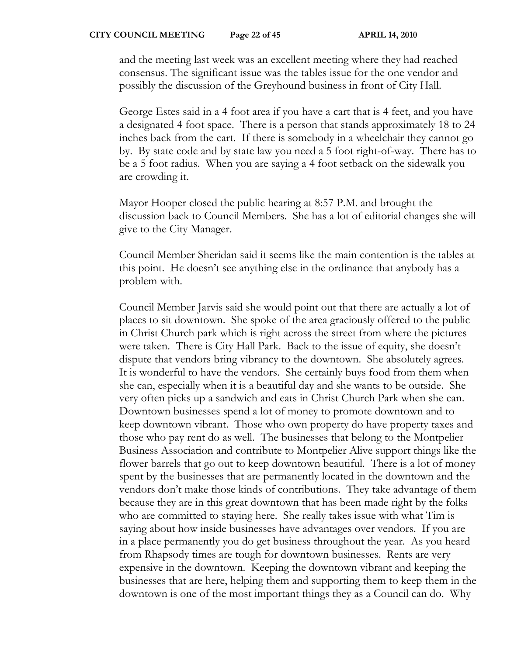and the meeting last week was an excellent meeting where they had reached consensus. The significant issue was the tables issue for the one vendor and possibly the discussion of the Greyhound business in front of City Hall.

George Estes said in a 4 foot area if you have a cart that is 4 feet, and you have a designated 4 foot space. There is a person that stands approximately 18 to 24 inches back from the cart. If there is somebody in a wheelchair they cannot go by. By state code and by state law you need a 5 foot right-of-way. There has to be a 5 foot radius. When you are saying a 4 foot setback on the sidewalk you are crowding it.

Mayor Hooper closed the public hearing at 8:57 P.M. and brought the discussion back to Council Members. She has a lot of editorial changes she will give to the City Manager.

Council Member Sheridan said it seems like the main contention is the tables at this point. He doesn't see anything else in the ordinance that anybody has a problem with.

Council Member Jarvis said she would point out that there are actually a lot of places to sit downtown. She spoke of the area graciously offered to the public in Christ Church park which is right across the street from where the pictures were taken. There is City Hall Park. Back to the issue of equity, she doesn't dispute that vendors bring vibrancy to the downtown. She absolutely agrees. It is wonderful to have the vendors. She certainly buys food from them when she can, especially when it is a beautiful day and she wants to be outside. She very often picks up a sandwich and eats in Christ Church Park when she can. Downtown businesses spend a lot of money to promote downtown and to keep downtown vibrant. Those who own property do have property taxes and those who pay rent do as well. The businesses that belong to the Montpelier Business Association and contribute to Montpelier Alive support things like the flower barrels that go out to keep downtown beautiful. There is a lot of money spent by the businesses that are permanently located in the downtown and the vendors don't make those kinds of contributions. They take advantage of them because they are in this great downtown that has been made right by the folks who are committed to staying here. She really takes issue with what Tim is saying about how inside businesses have advantages over vendors. If you are in a place permanently you do get business throughout the year. As you heard from Rhapsody times are tough for downtown businesses. Rents are very expensive in the downtown. Keeping the downtown vibrant and keeping the businesses that are here, helping them and supporting them to keep them in the downtown is one of the most important things they as a Council can do. Why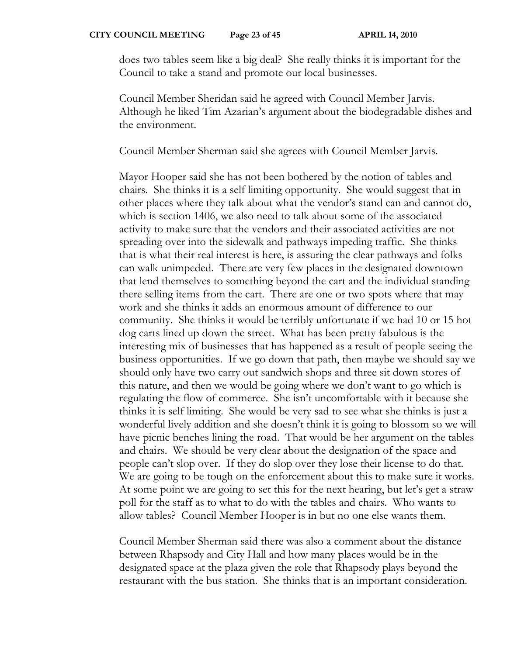does two tables seem like a big deal? She really thinks it is important for the Council to take a stand and promote our local businesses.

Council Member Sheridan said he agreed with Council Member Jarvis. Although he liked Tim Azarian's argument about the biodegradable dishes and the environment.

Council Member Sherman said she agrees with Council Member Jarvis.

Mayor Hooper said she has not been bothered by the notion of tables and chairs. She thinks it is a self limiting opportunity. She would suggest that in other places where they talk about what the vendor's stand can and cannot do, which is section 1406, we also need to talk about some of the associated activity to make sure that the vendors and their associated activities are not spreading over into the sidewalk and pathways impeding traffic. She thinks that is what their real interest is here, is assuring the clear pathways and folks can walk unimpeded. There are very few places in the designated downtown that lend themselves to something beyond the cart and the individual standing there selling items from the cart. There are one or two spots where that may work and she thinks it adds an enormous amount of difference to our community. She thinks it would be terribly unfortunate if we had 10 or 15 hot dog carts lined up down the street. What has been pretty fabulous is the interesting mix of businesses that has happened as a result of people seeing the business opportunities. If we go down that path, then maybe we should say we should only have two carry out sandwich shops and three sit down stores of this nature, and then we would be going where we don't want to go which is regulating the flow of commerce. She isn't uncomfortable with it because she thinks it is self limiting. She would be very sad to see what she thinks is just a wonderful lively addition and she doesn't think it is going to blossom so we will have picnic benches lining the road. That would be her argument on the tables and chairs. We should be very clear about the designation of the space and people can't slop over. If they do slop over they lose their license to do that. We are going to be tough on the enforcement about this to make sure it works. At some point we are going to set this for the next hearing, but let's get a straw poll for the staff as to what to do with the tables and chairs. Who wants to allow tables? Council Member Hooper is in but no one else wants them.

Council Member Sherman said there was also a comment about the distance between Rhapsody and City Hall and how many places would be in the designated space at the plaza given the role that Rhapsody plays beyond the restaurant with the bus station. She thinks that is an important consideration.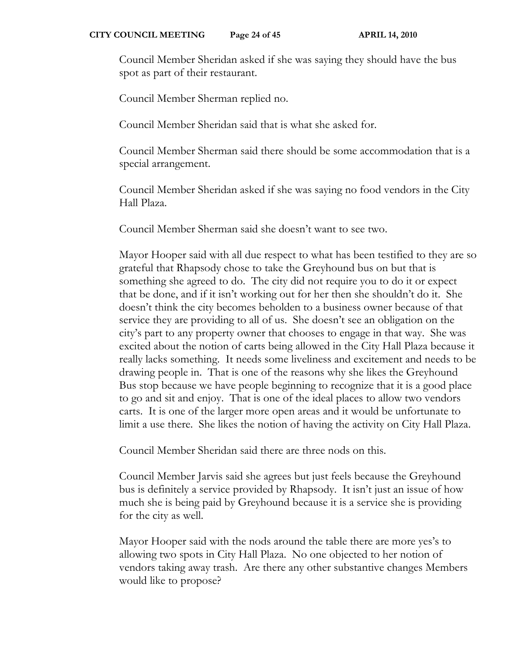Council Member Sheridan asked if she was saying they should have the bus spot as part of their restaurant.

Council Member Sherman replied no.

Council Member Sheridan said that is what she asked for.

Council Member Sherman said there should be some accommodation that is a special arrangement.

Council Member Sheridan asked if she was saying no food vendors in the City Hall Plaza.

Council Member Sherman said she doesn't want to see two.

Mayor Hooper said with all due respect to what has been testified to they are so grateful that Rhapsody chose to take the Greyhound bus on but that is something she agreed to do. The city did not require you to do it or expect that be done, and if it isn't working out for her then she shouldn't do it. She doesn't think the city becomes beholden to a business owner because of that service they are providing to all of us. She doesn't see an obligation on the city's part to any property owner that chooses to engage in that way. She was excited about the notion of carts being allowed in the City Hall Plaza because it really lacks something. It needs some liveliness and excitement and needs to be drawing people in. That is one of the reasons why she likes the Greyhound Bus stop because we have people beginning to recognize that it is a good place to go and sit and enjoy. That is one of the ideal places to allow two vendors carts. It is one of the larger more open areas and it would be unfortunate to limit a use there. She likes the notion of having the activity on City Hall Plaza.

Council Member Sheridan said there are three nods on this.

Council Member Jarvis said she agrees but just feels because the Greyhound bus is definitely a service provided by Rhapsody. It isn't just an issue of how much she is being paid by Greyhound because it is a service she is providing for the city as well.

Mayor Hooper said with the nods around the table there are more yes's to allowing two spots in City Hall Plaza. No one objected to her notion of vendors taking away trash. Are there any other substantive changes Members would like to propose?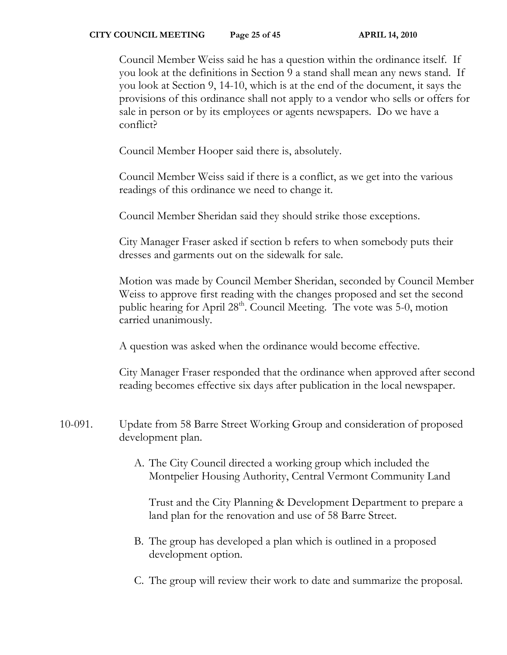### **CITY COUNCIL MEETING** Page 25 of 45 APRIL 14, 2010

Council Member Weiss said he has a question within the ordinance itself. If you look at the definitions in Section 9 a stand shall mean any news stand. If you look at Section 9, 14-10, which is at the end of the document, it says the provisions of this ordinance shall not apply to a vendor who sells or offers for sale in person or by its employees or agents newspapers. Do we have a conflict?

Council Member Hooper said there is, absolutely.

Council Member Weiss said if there is a conflict, as we get into the various readings of this ordinance we need to change it.

Council Member Sheridan said they should strike those exceptions.

City Manager Fraser asked if section b refers to when somebody puts their dresses and garments out on the sidewalk for sale.

Motion was made by Council Member Sheridan, seconded by Council Member Weiss to approve first reading with the changes proposed and set the second public hearing for April 28<sup>th</sup>. Council Meeting. The vote was 5-0, motion carried unanimously.

A question was asked when the ordinance would become effective.

City Manager Fraser responded that the ordinance when approved after second reading becomes effective six days after publication in the local newspaper.

- 10-091. Update from 58 Barre Street Working Group and consideration of proposed development plan.
	- A. The City Council directed a working group which included the Montpelier Housing Authority, Central Vermont Community Land

Trust and the City Planning & Development Department to prepare a land plan for the renovation and use of 58 Barre Street.

- B. The group has developed a plan which is outlined in a proposed development option.
- C. The group will review their work to date and summarize the proposal.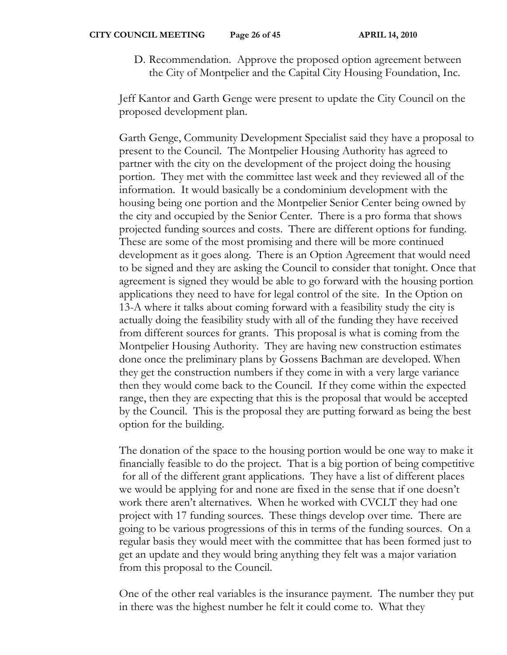D. Recommendation. Approve the proposed option agreement between the City of Montpelier and the Capital City Housing Foundation, Inc.

Jeff Kantor and Garth Genge were present to update the City Council on the proposed development plan.

Garth Genge, Community Development Specialist said they have a proposal to present to the Council. The Montpelier Housing Authority has agreed to partner with the city on the development of the project doing the housing portion. They met with the committee last week and they reviewed all of the information. It would basically be a condominium development with the housing being one portion and the Montpelier Senior Center being owned by the city and occupied by the Senior Center. There is a pro forma that shows projected funding sources and costs. There are different options for funding. These are some of the most promising and there will be more continued development as it goes along. There is an Option Agreement that would need to be signed and they are asking the Council to consider that tonight. Once that agreement is signed they would be able to go forward with the housing portion applications they need to have for legal control of the site. In the Option on 13-A where it talks about coming forward with a feasibility study the city is actually doing the feasibility study with all of the funding they have received from different sources for grants. This proposal is what is coming from the Montpelier Housing Authority. They are having new construction estimates done once the preliminary plans by Gossens Bachman are developed. When they get the construction numbers if they come in with a very large variance then they would come back to the Council. If they come within the expected range, then they are expecting that this is the proposal that would be accepted by the Council. This is the proposal they are putting forward as being the best option for the building.

The donation of the space to the housing portion would be one way to make it financially feasible to do the project. That is a big portion of being competitive for all of the different grant applications. They have a list of different places we would be applying for and none are fixed in the sense that if one doesn't work there aren't alternatives. When he worked with CVCLT they had one project with 17 funding sources. These things develop over time. There are going to be various progressions of this in terms of the funding sources. On a regular basis they would meet with the committee that has been formed just to get an update and they would bring anything they felt was a major variation from this proposal to the Council.

One of the other real variables is the insurance payment. The number they put in there was the highest number he felt it could come to. What they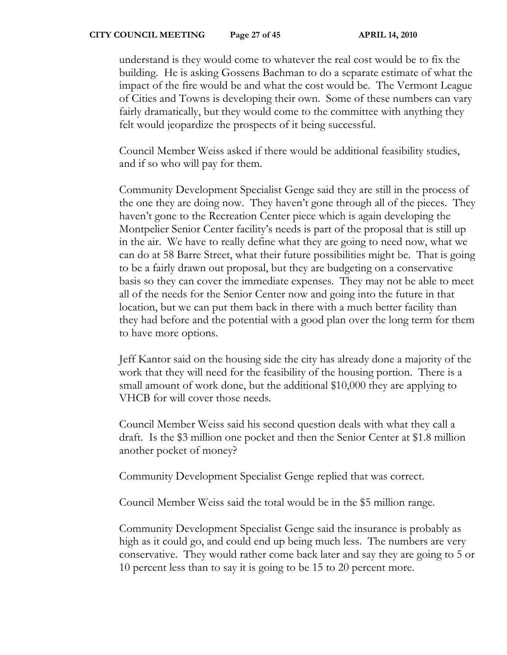understand is they would come to whatever the real cost would be to fix the building. He is asking Gossens Bachman to do a separate estimate of what the impact of the fire would be and what the cost would be. The Vermont League of Cities and Towns is developing their own. Some of these numbers can vary fairly dramatically, but they would come to the committee with anything they felt would jeopardize the prospects of it being successful.

Council Member Weiss asked if there would be additional feasibility studies, and if so who will pay for them.

Community Development Specialist Genge said they are still in the process of the one they are doing now. They haven't gone through all of the pieces. They haven't gone to the Recreation Center piece which is again developing the Montpelier Senior Center facility's needs is part of the proposal that is still up in the air. We have to really define what they are going to need now, what we can do at 58 Barre Street, what their future possibilities might be. That is going to be a fairly drawn out proposal, but they are budgeting on a conservative basis so they can cover the immediate expenses. They may not be able to meet all of the needs for the Senior Center now and going into the future in that location, but we can put them back in there with a much better facility than they had before and the potential with a good plan over the long term for them to have more options.

Jeff Kantor said on the housing side the city has already done a majority of the work that they will need for the feasibility of the housing portion. There is a small amount of work done, but the additional \$10,000 they are applying to VHCB for will cover those needs.

Council Member Weiss said his second question deals with what they call a draft. Is the \$3 million one pocket and then the Senior Center at \$1.8 million another pocket of money?

Community Development Specialist Genge replied that was correct.

Council Member Weiss said the total would be in the \$5 million range.

Community Development Specialist Genge said the insurance is probably as high as it could go, and could end up being much less. The numbers are very conservative. They would rather come back later and say they are going to 5 or 10 percent less than to say it is going to be 15 to 20 percent more.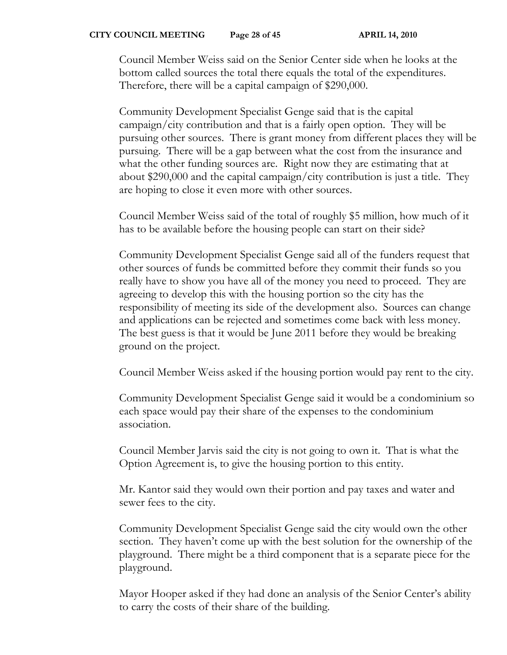Council Member Weiss said on the Senior Center side when he looks at the bottom called sources the total there equals the total of the expenditures. Therefore, there will be a capital campaign of \$290,000.

Community Development Specialist Genge said that is the capital campaign/city contribution and that is a fairly open option. They will be pursuing other sources. There is grant money from different places they will be pursuing. There will be a gap between what the cost from the insurance and what the other funding sources are. Right now they are estimating that at about \$290,000 and the capital campaign/city contribution is just a title. They are hoping to close it even more with other sources.

Council Member Weiss said of the total of roughly \$5 million, how much of it has to be available before the housing people can start on their side?

Community Development Specialist Genge said all of the funders request that other sources of funds be committed before they commit their funds so you really have to show you have all of the money you need to proceed. They are agreeing to develop this with the housing portion so the city has the responsibility of meeting its side of the development also. Sources can change and applications can be rejected and sometimes come back with less money. The best guess is that it would be June 2011 before they would be breaking ground on the project.

Council Member Weiss asked if the housing portion would pay rent to the city.

Community Development Specialist Genge said it would be a condominium so each space would pay their share of the expenses to the condominium association.

Council Member Jarvis said the city is not going to own it. That is what the Option Agreement is, to give the housing portion to this entity.

Mr. Kantor said they would own their portion and pay taxes and water and sewer fees to the city.

Community Development Specialist Genge said the city would own the other section. They haven't come up with the best solution for the ownership of the playground. There might be a third component that is a separate piece for the playground.

Mayor Hooper asked if they had done an analysis of the Senior Center's ability to carry the costs of their share of the building.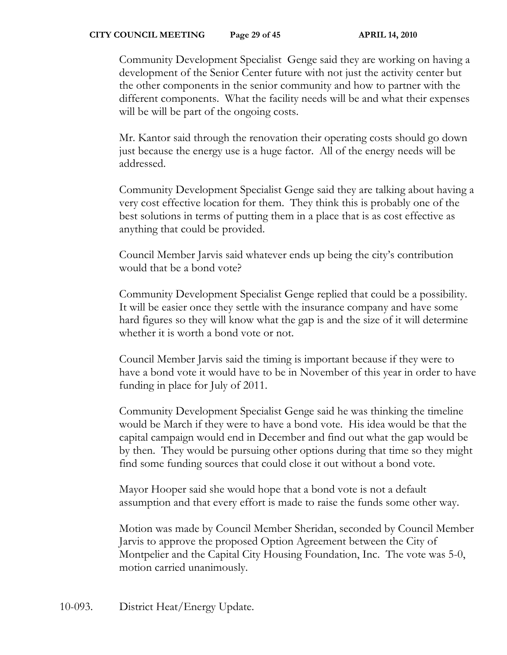Community Development Specialist Genge said they are working on having a development of the Senior Center future with not just the activity center but the other components in the senior community and how to partner with the different components. What the facility needs will be and what their expenses will be will be part of the ongoing costs.

Mr. Kantor said through the renovation their operating costs should go down just because the energy use is a huge factor. All of the energy needs will be addressed.

Community Development Specialist Genge said they are talking about having a very cost effective location for them. They think this is probably one of the best solutions in terms of putting them in a place that is as cost effective as anything that could be provided.

Council Member Jarvis said whatever ends up being the city's contribution would that be a bond vote?

Community Development Specialist Genge replied that could be a possibility. It will be easier once they settle with the insurance company and have some hard figures so they will know what the gap is and the size of it will determine whether it is worth a bond vote or not.

Council Member Jarvis said the timing is important because if they were to have a bond vote it would have to be in November of this year in order to have funding in place for July of 2011.

Community Development Specialist Genge said he was thinking the timeline would be March if they were to have a bond vote. His idea would be that the capital campaign would end in December and find out what the gap would be by then. They would be pursuing other options during that time so they might find some funding sources that could close it out without a bond vote.

Mayor Hooper said she would hope that a bond vote is not a default assumption and that every effort is made to raise the funds some other way.

Motion was made by Council Member Sheridan, seconded by Council Member Jarvis to approve the proposed Option Agreement between the City of Montpelier and the Capital City Housing Foundation, Inc. The vote was 5-0, motion carried unanimously.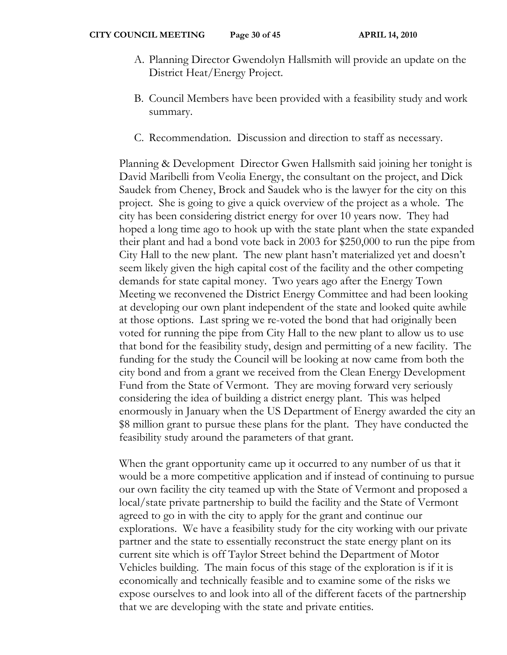- A. Planning Director Gwendolyn Hallsmith will provide an update on the District Heat/Energy Project.
- B. Council Members have been provided with a feasibility study and work summary.
- C. Recommendation. Discussion and direction to staff as necessary.

Planning & Development Director Gwen Hallsmith said joining her tonight is David Maribelli from Veolia Energy, the consultant on the project, and Dick Saudek from Cheney, Brock and Saudek who is the lawyer for the city on this project. She is going to give a quick overview of the project as a whole. The city has been considering district energy for over 10 years now. They had hoped a long time ago to hook up with the state plant when the state expanded their plant and had a bond vote back in 2003 for \$250,000 to run the pipe from City Hall to the new plant. The new plant hasn't materialized yet and doesn't seem likely given the high capital cost of the facility and the other competing demands for state capital money. Two years ago after the Energy Town Meeting we reconvened the District Energy Committee and had been looking at developing our own plant independent of the state and looked quite awhile at those options. Last spring we re-voted the bond that had originally been voted for running the pipe from City Hall to the new plant to allow us to use that bond for the feasibility study, design and permitting of a new facility. The funding for the study the Council will be looking at now came from both the city bond and from a grant we received from the Clean Energy Development Fund from the State of Vermont. They are moving forward very seriously considering the idea of building a district energy plant. This was helped enormously in January when the US Department of Energy awarded the city an \$8 million grant to pursue these plans for the plant. They have conducted the feasibility study around the parameters of that grant.

When the grant opportunity came up it occurred to any number of us that it would be a more competitive application and if instead of continuing to pursue our own facility the city teamed up with the State of Vermont and proposed a local/state private partnership to build the facility and the State of Vermont agreed to go in with the city to apply for the grant and continue our explorations. We have a feasibility study for the city working with our private partner and the state to essentially reconstruct the state energy plant on its current site which is off Taylor Street behind the Department of Motor Vehicles building. The main focus of this stage of the exploration is if it is economically and technically feasible and to examine some of the risks we expose ourselves to and look into all of the different facets of the partnership that we are developing with the state and private entities.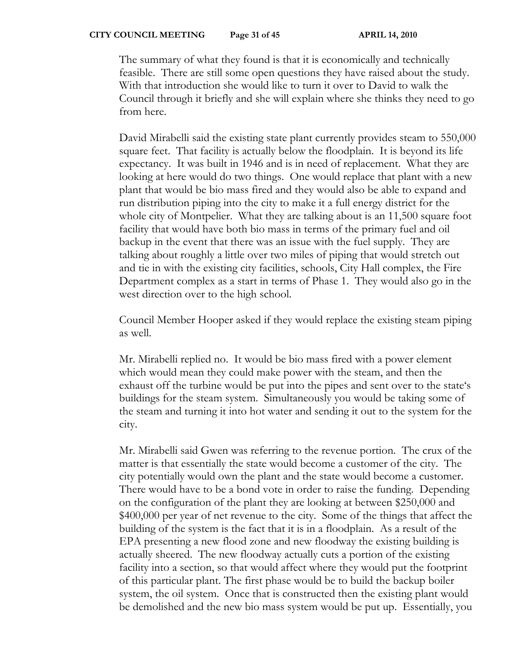#### **CITY COUNCIL MEETING Page 31 of 45 APRIL 14, 2010**

The summary of what they found is that it is economically and technically feasible. There are still some open questions they have raised about the study. With that introduction she would like to turn it over to David to walk the Council through it briefly and she will explain where she thinks they need to go from here.

David Mirabelli said the existing state plant currently provides steam to 550,000 square feet. That facility is actually below the floodplain. It is beyond its life expectancy. It was built in 1946 and is in need of replacement. What they are looking at here would do two things. One would replace that plant with a new plant that would be bio mass fired and they would also be able to expand and run distribution piping into the city to make it a full energy district for the whole city of Montpelier. What they are talking about is an 11,500 square foot facility that would have both bio mass in terms of the primary fuel and oil backup in the event that there was an issue with the fuel supply. They are talking about roughly a little over two miles of piping that would stretch out and tie in with the existing city facilities, schools, City Hall complex, the Fire Department complex as a start in terms of Phase 1. They would also go in the west direction over to the high school.

Council Member Hooper asked if they would replace the existing steam piping as well.

Mr. Mirabelli replied no. It would be bio mass fired with a power element which would mean they could make power with the steam, and then the exhaust off the turbine would be put into the pipes and sent over to the state's buildings for the steam system. Simultaneously you would be taking some of the steam and turning it into hot water and sending it out to the system for the city.

Mr. Mirabelli said Gwen was referring to the revenue portion. The crux of the matter is that essentially the state would become a customer of the city. The city potentially would own the plant and the state would become a customer. There would have to be a bond vote in order to raise the funding. Depending on the configuration of the plant they are looking at between \$250,000 and \$400,000 per year of net revenue to the city. Some of the things that affect the building of the system is the fact that it is in a floodplain. As a result of the EPA presenting a new flood zone and new floodway the existing building is actually sheered. The new floodway actually cuts a portion of the existing facility into a section, so that would affect where they would put the footprint of this particular plant. The first phase would be to build the backup boiler system, the oil system. Once that is constructed then the existing plant would be demolished and the new bio mass system would be put up. Essentially, you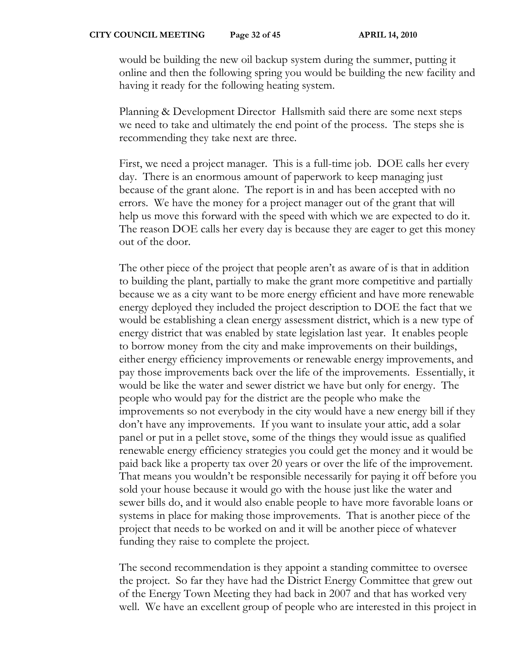would be building the new oil backup system during the summer, putting it online and then the following spring you would be building the new facility and having it ready for the following heating system.

Planning & Development Director Hallsmith said there are some next steps we need to take and ultimately the end point of the process. The steps she is recommending they take next are three.

First, we need a project manager. This is a full-time job. DOE calls her every day. There is an enormous amount of paperwork to keep managing just because of the grant alone. The report is in and has been accepted with no errors. We have the money for a project manager out of the grant that will help us move this forward with the speed with which we are expected to do it. The reason DOE calls her every day is because they are eager to get this money out of the door.

The other piece of the project that people aren't as aware of is that in addition to building the plant, partially to make the grant more competitive and partially because we as a city want to be more energy efficient and have more renewable energy deployed they included the project description to DOE the fact that we would be establishing a clean energy assessment district, which is a new type of energy district that was enabled by state legislation last year. It enables people to borrow money from the city and make improvements on their buildings, either energy efficiency improvements or renewable energy improvements, and pay those improvements back over the life of the improvements. Essentially, it would be like the water and sewer district we have but only for energy. The people who would pay for the district are the people who make the improvements so not everybody in the city would have a new energy bill if they don't have any improvements. If you want to insulate your attic, add a solar panel or put in a pellet stove, some of the things they would issue as qualified renewable energy efficiency strategies you could get the money and it would be paid back like a property tax over 20 years or over the life of the improvement. That means you wouldn't be responsible necessarily for paying it off before you sold your house because it would go with the house just like the water and sewer bills do, and it would also enable people to have more favorable loans or systems in place for making those improvements. That is another piece of the project that needs to be worked on and it will be another piece of whatever funding they raise to complete the project.

The second recommendation is they appoint a standing committee to oversee the project. So far they have had the District Energy Committee that grew out of the Energy Town Meeting they had back in 2007 and that has worked very well. We have an excellent group of people who are interested in this project in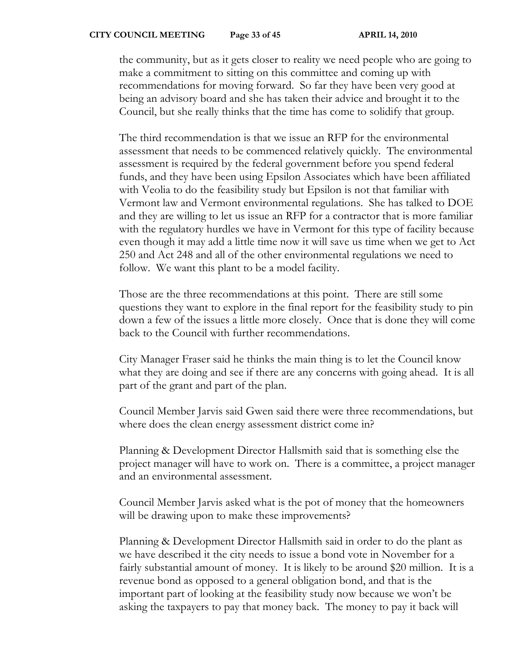the community, but as it gets closer to reality we need people who are going to make a commitment to sitting on this committee and coming up with recommendations for moving forward. So far they have been very good at being an advisory board and she has taken their advice and brought it to the Council, but she really thinks that the time has come to solidify that group.

The third recommendation is that we issue an RFP for the environmental assessment that needs to be commenced relatively quickly. The environmental assessment is required by the federal government before you spend federal funds, and they have been using Epsilon Associates which have been affiliated with Veolia to do the feasibility study but Epsilon is not that familiar with Vermont law and Vermont environmental regulations. She has talked to DOE and they are willing to let us issue an RFP for a contractor that is more familiar with the regulatory hurdles we have in Vermont for this type of facility because even though it may add a little time now it will save us time when we get to Act 250 and Act 248 and all of the other environmental regulations we need to follow. We want this plant to be a model facility.

Those are the three recommendations at this point. There are still some questions they want to explore in the final report for the feasibility study to pin down a few of the issues a little more closely. Once that is done they will come back to the Council with further recommendations.

City Manager Fraser said he thinks the main thing is to let the Council know what they are doing and see if there are any concerns with going ahead. It is all part of the grant and part of the plan.

Council Member Jarvis said Gwen said there were three recommendations, but where does the clean energy assessment district come in?

Planning & Development Director Hallsmith said that is something else the project manager will have to work on. There is a committee, a project manager and an environmental assessment.

Council Member Jarvis asked what is the pot of money that the homeowners will be drawing upon to make these improvements?

Planning & Development Director Hallsmith said in order to do the plant as we have described it the city needs to issue a bond vote in November for a fairly substantial amount of money. It is likely to be around \$20 million. It is a revenue bond as opposed to a general obligation bond, and that is the important part of looking at the feasibility study now because we won't be asking the taxpayers to pay that money back. The money to pay it back will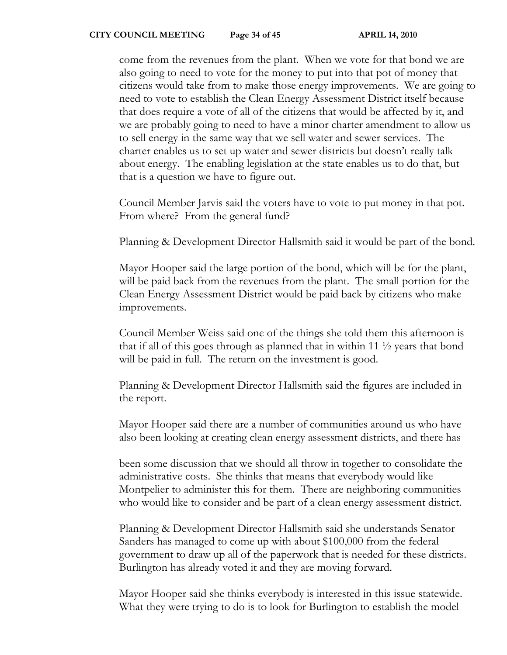come from the revenues from the plant. When we vote for that bond we are also going to need to vote for the money to put into that pot of money that citizens would take from to make those energy improvements. We are going to need to vote to establish the Clean Energy Assessment District itself because that does require a vote of all of the citizens that would be affected by it, and we are probably going to need to have a minor charter amendment to allow us to sell energy in the same way that we sell water and sewer services. The charter enables us to set up water and sewer districts but doesn't really talk about energy. The enabling legislation at the state enables us to do that, but that is a question we have to figure out.

Council Member Jarvis said the voters have to vote to put money in that pot. From where? From the general fund?

Planning & Development Director Hallsmith said it would be part of the bond.

Mayor Hooper said the large portion of the bond, which will be for the plant, will be paid back from the revenues from the plant. The small portion for the Clean Energy Assessment District would be paid back by citizens who make improvements.

Council Member Weiss said one of the things she told them this afternoon is that if all of this goes through as planned that in within 11 ½ years that bond will be paid in full. The return on the investment is good.

Planning & Development Director Hallsmith said the figures are included in the report.

Mayor Hooper said there are a number of communities around us who have also been looking at creating clean energy assessment districts, and there has

been some discussion that we should all throw in together to consolidate the administrative costs. She thinks that means that everybody would like Montpelier to administer this for them. There are neighboring communities who would like to consider and be part of a clean energy assessment district.

Planning & Development Director Hallsmith said she understands Senator Sanders has managed to come up with about \$100,000 from the federal government to draw up all of the paperwork that is needed for these districts. Burlington has already voted it and they are moving forward.

Mayor Hooper said she thinks everybody is interested in this issue statewide. What they were trying to do is to look for Burlington to establish the model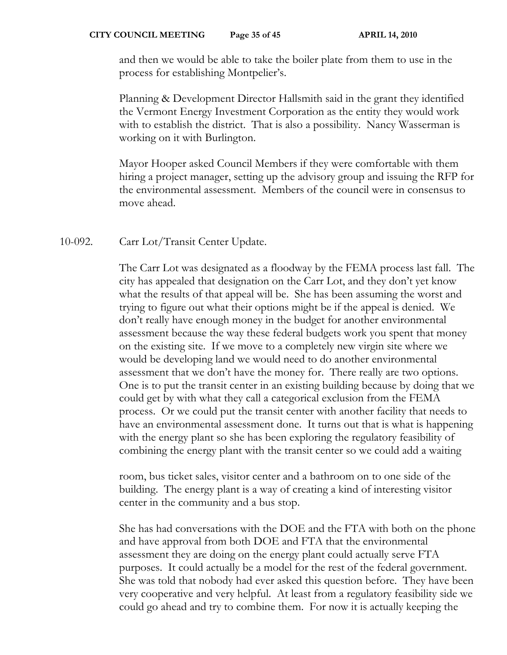and then we would be able to take the boiler plate from them to use in the process for establishing Montpelier's.

Planning & Development Director Hallsmith said in the grant they identified the Vermont Energy Investment Corporation as the entity they would work with to establish the district. That is also a possibility. Nancy Wasserman is working on it with Burlington.

Mayor Hooper asked Council Members if they were comfortable with them hiring a project manager, setting up the advisory group and issuing the RFP for the environmental assessment. Members of the council were in consensus to move ahead.

10-092. Carr Lot/Transit Center Update.

The Carr Lot was designated as a floodway by the FEMA process last fall. The city has appealed that designation on the Carr Lot, and they don't yet know what the results of that appeal will be. She has been assuming the worst and trying to figure out what their options might be if the appeal is denied. We don't really have enough money in the budget for another environmental assessment because the way these federal budgets work you spent that money on the existing site. If we move to a completely new virgin site where we would be developing land we would need to do another environmental assessment that we don't have the money for. There really are two options. One is to put the transit center in an existing building because by doing that we could get by with what they call a categorical exclusion from the FEMA process. Or we could put the transit center with another facility that needs to have an environmental assessment done. It turns out that is what is happening with the energy plant so she has been exploring the regulatory feasibility of combining the energy plant with the transit center so we could add a waiting

room, bus ticket sales, visitor center and a bathroom on to one side of the building. The energy plant is a way of creating a kind of interesting visitor center in the community and a bus stop.

She has had conversations with the DOE and the FTA with both on the phone and have approval from both DOE and FTA that the environmental assessment they are doing on the energy plant could actually serve FTA purposes. It could actually be a model for the rest of the federal government. She was told that nobody had ever asked this question before. They have been very cooperative and very helpful. At least from a regulatory feasibility side we could go ahead and try to combine them. For now it is actually keeping the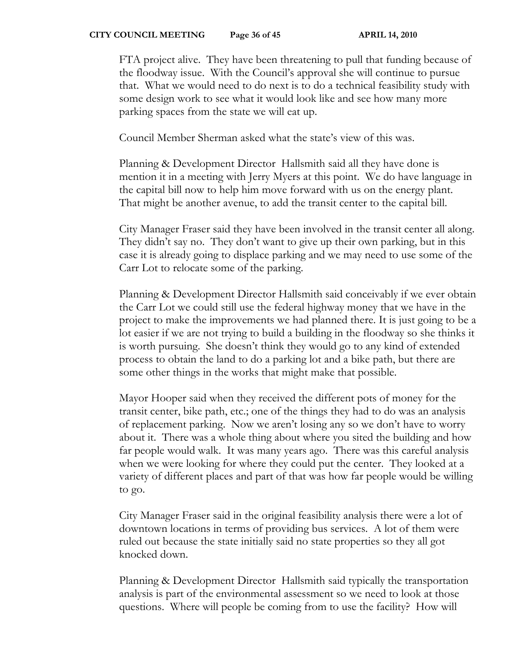FTA project alive. They have been threatening to pull that funding because of the floodway issue. With the Council's approval she will continue to pursue that. What we would need to do next is to do a technical feasibility study with some design work to see what it would look like and see how many more parking spaces from the state we will eat up.

Council Member Sherman asked what the state's view of this was.

Planning & Development Director Hallsmith said all they have done is mention it in a meeting with Jerry Myers at this point. We do have language in the capital bill now to help him move forward with us on the energy plant. That might be another avenue, to add the transit center to the capital bill.

City Manager Fraser said they have been involved in the transit center all along. They didn't say no. They don't want to give up their own parking, but in this case it is already going to displace parking and we may need to use some of the Carr Lot to relocate some of the parking.

Planning & Development Director Hallsmith said conceivably if we ever obtain the Carr Lot we could still use the federal highway money that we have in the project to make the improvements we had planned there. It is just going to be a lot easier if we are not trying to build a building in the floodway so she thinks it is worth pursuing. She doesn't think they would go to any kind of extended process to obtain the land to do a parking lot and a bike path, but there are some other things in the works that might make that possible.

Mayor Hooper said when they received the different pots of money for the transit center, bike path, etc.; one of the things they had to do was an analysis of replacement parking. Now we aren't losing any so we don't have to worry about it. There was a whole thing about where you sited the building and how far people would walk. It was many years ago. There was this careful analysis when we were looking for where they could put the center. They looked at a variety of different places and part of that was how far people would be willing to go.

City Manager Fraser said in the original feasibility analysis there were a lot of downtown locations in terms of providing bus services. A lot of them were ruled out because the state initially said no state properties so they all got knocked down.

Planning & Development Director Hallsmith said typically the transportation analysis is part of the environmental assessment so we need to look at those questions. Where will people be coming from to use the facility? How will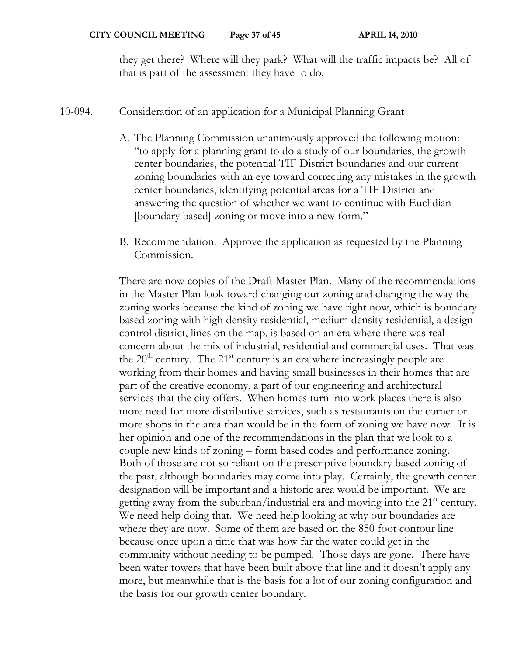they get there? Where will they park? What will the traffic impacts be? All of that is part of the assessment they have to do.

## 10-094. Consideration of an application for a Municipal Planning Grant

- A. The Planning Commission unanimously approved the following motion: "to apply for a planning grant to do a study of our boundaries, the growth center boundaries, the potential TIF District boundaries and our current zoning boundaries with an eye toward correcting any mistakes in the growth center boundaries, identifying potential areas for a TIF District and answering the question of whether we want to continue with Euclidian [boundary based] zoning or move into a new form."
- B. Recommendation. Approve the application as requested by the Planning Commission.

There are now copies of the Draft Master Plan. Many of the recommendations in the Master Plan look toward changing our zoning and changing the way the zoning works because the kind of zoning we have right now, which is boundary based zoning with high density residential, medium density residential, a design control district, lines on the map, is based on an era where there was real concern about the mix of industrial, residential and commercial uses. That was the  $20<sup>th</sup>$  century. The  $21<sup>st</sup>$  century is an era where increasingly people are working from their homes and having small businesses in their homes that are part of the creative economy, a part of our engineering and architectural services that the city offers. When homes turn into work places there is also more need for more distributive services, such as restaurants on the corner or more shops in the area than would be in the form of zoning we have now. It is her opinion and one of the recommendations in the plan that we look to a couple new kinds of zoning – form based codes and performance zoning. Both of those are not so reliant on the prescriptive boundary based zoning of the past, although boundaries may come into play. Certainly, the growth center designation will be important and a historic area would be important. We are getting away from the suburban/industrial era and moving into the 21<sup>st</sup> century. We need help doing that. We need help looking at why our boundaries are where they are now. Some of them are based on the 850 foot contour line because once upon a time that was how far the water could get in the community without needing to be pumped. Those days are gone. There have been water towers that have been built above that line and it doesn't apply any more, but meanwhile that is the basis for a lot of our zoning configuration and the basis for our growth center boundary.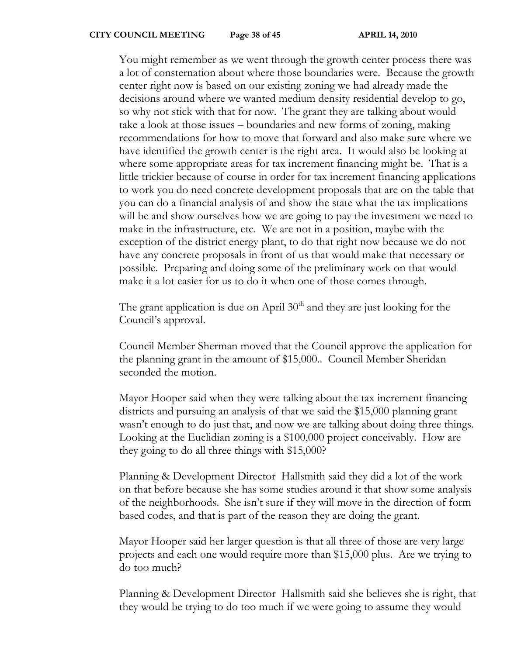You might remember as we went through the growth center process there was a lot of consternation about where those boundaries were. Because the growth center right now is based on our existing zoning we had already made the decisions around where we wanted medium density residential develop to go, so why not stick with that for now. The grant they are talking about would take a look at those issues – boundaries and new forms of zoning, making recommendations for how to move that forward and also make sure where we have identified the growth center is the right area. It would also be looking at where some appropriate areas for tax increment financing might be. That is a little trickier because of course in order for tax increment financing applications to work you do need concrete development proposals that are on the table that you can do a financial analysis of and show the state what the tax implications will be and show ourselves how we are going to pay the investment we need to make in the infrastructure, etc. We are not in a position, maybe with the exception of the district energy plant, to do that right now because we do not have any concrete proposals in front of us that would make that necessary or possible. Preparing and doing some of the preliminary work on that would make it a lot easier for us to do it when one of those comes through.

The grant application is due on April  $30<sup>th</sup>$  and they are just looking for the Council's approval.

Council Member Sherman moved that the Council approve the application for the planning grant in the amount of \$15,000.. Council Member Sheridan seconded the motion.

Mayor Hooper said when they were talking about the tax increment financing districts and pursuing an analysis of that we said the \$15,000 planning grant wasn't enough to do just that, and now we are talking about doing three things. Looking at the Euclidian zoning is a \$100,000 project conceivably. How are they going to do all three things with \$15,000?

Planning & Development Director Hallsmith said they did a lot of the work on that before because she has some studies around it that show some analysis of the neighborhoods. She isn't sure if they will move in the direction of form based codes, and that is part of the reason they are doing the grant.

Mayor Hooper said her larger question is that all three of those are very large projects and each one would require more than \$15,000 plus. Are we trying to do too much?

Planning & Development Director Hallsmith said she believes she is right, that they would be trying to do too much if we were going to assume they would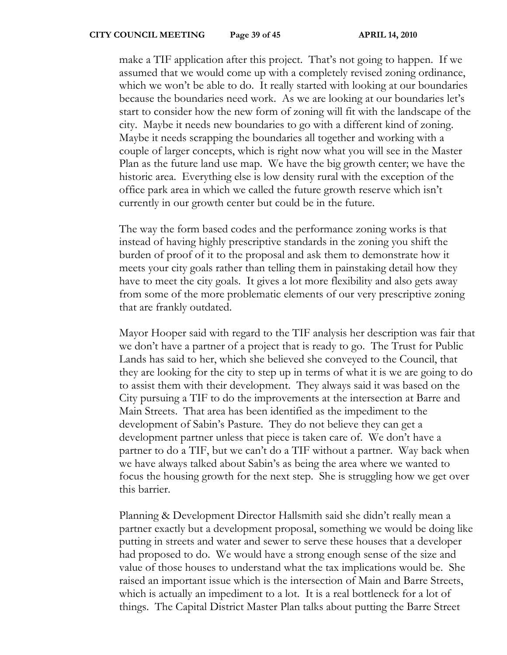make a TIF application after this project. That's not going to happen. If we assumed that we would come up with a completely revised zoning ordinance, which we won't be able to do. It really started with looking at our boundaries because the boundaries need work. As we are looking at our boundaries let's start to consider how the new form of zoning will fit with the landscape of the city. Maybe it needs new boundaries to go with a different kind of zoning. Maybe it needs scrapping the boundaries all together and working with a couple of larger concepts, which is right now what you will see in the Master Plan as the future land use map. We have the big growth center; we have the historic area. Everything else is low density rural with the exception of the office park area in which we called the future growth reserve which isn't currently in our growth center but could be in the future.

The way the form based codes and the performance zoning works is that instead of having highly prescriptive standards in the zoning you shift the burden of proof of it to the proposal and ask them to demonstrate how it meets your city goals rather than telling them in painstaking detail how they have to meet the city goals. It gives a lot more flexibility and also gets away from some of the more problematic elements of our very prescriptive zoning that are frankly outdated.

Mayor Hooper said with regard to the TIF analysis her description was fair that we don't have a partner of a project that is ready to go. The Trust for Public Lands has said to her, which she believed she conveyed to the Council, that they are looking for the city to step up in terms of what it is we are going to do to assist them with their development. They always said it was based on the City pursuing a TIF to do the improvements at the intersection at Barre and Main Streets. That area has been identified as the impediment to the development of Sabin's Pasture. They do not believe they can get a development partner unless that piece is taken care of. We don't have a partner to do a TIF, but we can't do a TIF without a partner. Way back when we have always talked about Sabin's as being the area where we wanted to focus the housing growth for the next step. She is struggling how we get over this barrier.

Planning & Development Director Hallsmith said she didn't really mean a partner exactly but a development proposal, something we would be doing like putting in streets and water and sewer to serve these houses that a developer had proposed to do. We would have a strong enough sense of the size and value of those houses to understand what the tax implications would be. She raised an important issue which is the intersection of Main and Barre Streets, which is actually an impediment to a lot. It is a real bottleneck for a lot of things. The Capital District Master Plan talks about putting the Barre Street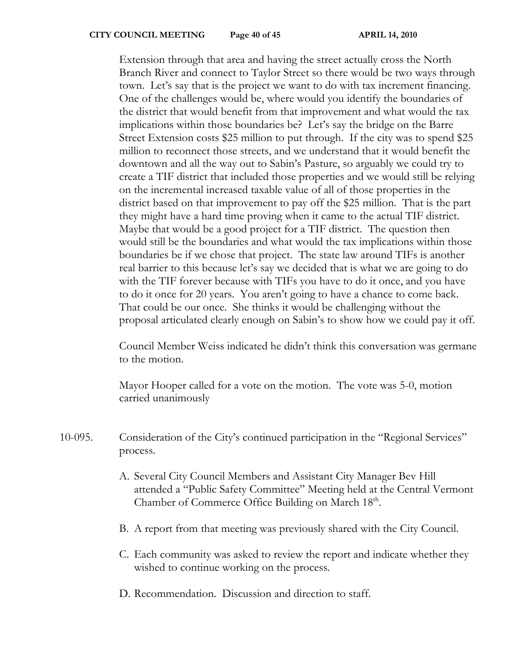Extension through that area and having the street actually cross the North Branch River and connect to Taylor Street so there would be two ways through town. Let's say that is the project we want to do with tax increment financing. One of the challenges would be, where would you identify the boundaries of the district that would benefit from that improvement and what would the tax implications within those boundaries be? Let's say the bridge on the Barre Street Extension costs \$25 million to put through. If the city was to spend \$25 million to reconnect those streets, and we understand that it would benefit the downtown and all the way out to Sabin's Pasture, so arguably we could try to create a TIF district that included those properties and we would still be relying on the incremental increased taxable value of all of those properties in the district based on that improvement to pay off the \$25 million. That is the part they might have a hard time proving when it came to the actual TIF district. Maybe that would be a good project for a TIF district. The question then would still be the boundaries and what would the tax implications within those boundaries be if we chose that project. The state law around TIFs is another real barrier to this because let's say we decided that is what we are going to do with the TIF forever because with TIFs you have to do it once, and you have to do it once for 20 years. You aren't going to have a chance to come back. That could be our once. She thinks it would be challenging without the proposal articulated clearly enough on Sabin's to show how we could pay it off.

Council Member Weiss indicated he didn't think this conversation was germane to the motion.

Mayor Hooper called for a vote on the motion. The vote was 5-0, motion carried unanimously

- 10-095. Consideration of the City's continued participation in the "Regional Services" process.
	- A. Several City Council Members and Assistant City Manager Bev Hill attended a "Public Safety Committee" Meeting held at the Central Vermont Chamber of Commerce Office Building on March 18<sup>th</sup>.
	- B. A report from that meeting was previously shared with the City Council.
	- C. Each community was asked to review the report and indicate whether they wished to continue working on the process.
	- D. Recommendation. Discussion and direction to staff.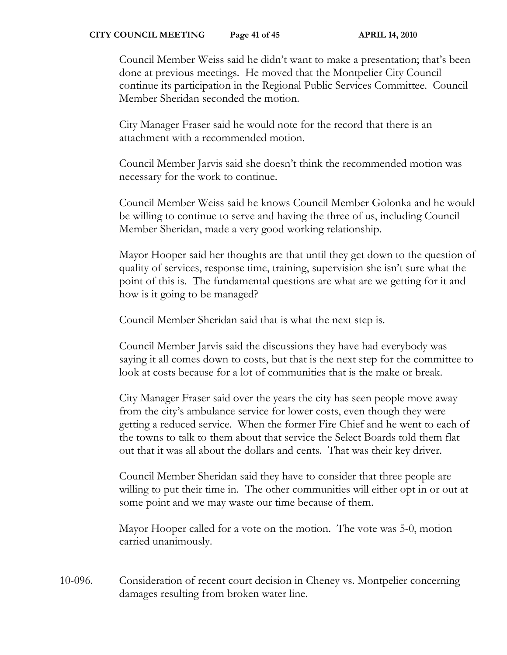Council Member Weiss said he didn't want to make a presentation; that's been done at previous meetings. He moved that the Montpelier City Council continue its participation in the Regional Public Services Committee. Council Member Sheridan seconded the motion.

City Manager Fraser said he would note for the record that there is an attachment with a recommended motion.

Council Member Jarvis said she doesn't think the recommended motion was necessary for the work to continue.

Council Member Weiss said he knows Council Member Golonka and he would be willing to continue to serve and having the three of us, including Council Member Sheridan, made a very good working relationship.

Mayor Hooper said her thoughts are that until they get down to the question of quality of services, response time, training, supervision she isn't sure what the point of this is. The fundamental questions are what are we getting for it and how is it going to be managed?

Council Member Sheridan said that is what the next step is.

Council Member Jarvis said the discussions they have had everybody was saying it all comes down to costs, but that is the next step for the committee to look at costs because for a lot of communities that is the make or break.

City Manager Fraser said over the years the city has seen people move away from the city's ambulance service for lower costs, even though they were getting a reduced service. When the former Fire Chief and he went to each of the towns to talk to them about that service the Select Boards told them flat out that it was all about the dollars and cents. That was their key driver.

Council Member Sheridan said they have to consider that three people are willing to put their time in. The other communities will either opt in or out at some point and we may waste our time because of them.

Mayor Hooper called for a vote on the motion. The vote was 5-0, motion carried unanimously.

10-096. Consideration of recent court decision in Cheney vs. Montpelier concerning damages resulting from broken water line.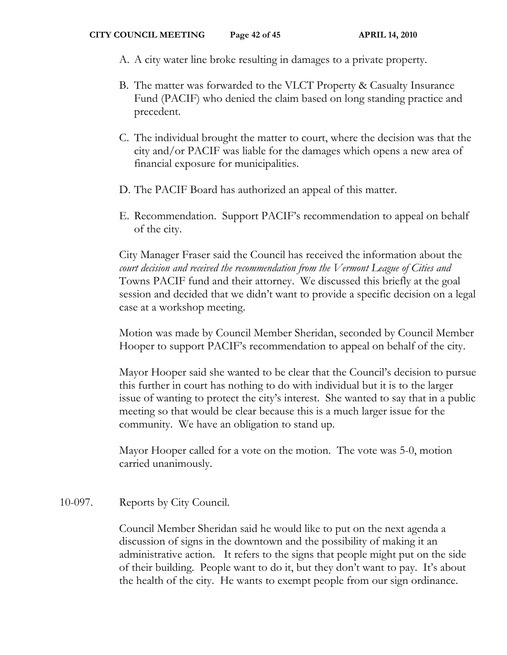- A. A city water line broke resulting in damages to a private property.
- B. The matter was forwarded to the VLCT Property & Casualty Insurance Fund (PACIF) who denied the claim based on long standing practice and precedent.
- C. The individual brought the matter to court, where the decision was that the city and/or PACIF was liable for the damages which opens a new area of financial exposure for municipalities.
- D. The PACIF Board has authorized an appeal of this matter.
- E. Recommendation. Support PACIF's recommendation to appeal on behalf of the city.

City Manager Fraser said the Council has received the information about the *court decision and received the recommendation from the Vermont League of Cities and* Towns PACIF fund and their attorney. We discussed this briefly at the goal session and decided that we didn't want to provide a specific decision on a legal case at a workshop meeting.

Motion was made by Council Member Sheridan, seconded by Council Member Hooper to support PACIF's recommendation to appeal on behalf of the city.

Mayor Hooper said she wanted to be clear that the Council's decision to pursue this further in court has nothing to do with individual but it is to the larger issue of wanting to protect the city's interest. She wanted to say that in a public meeting so that would be clear because this is a much larger issue for the community. We have an obligation to stand up.

Mayor Hooper called for a vote on the motion. The vote was 5-0, motion carried unanimously.

# 10-097. Reports by City Council.

Council Member Sheridan said he would like to put on the next agenda a discussion of signs in the downtown and the possibility of making it an administrative action. It refers to the signs that people might put on the side of their building. People want to do it, but they don't want to pay. It's about the health of the city. He wants to exempt people from our sign ordinance.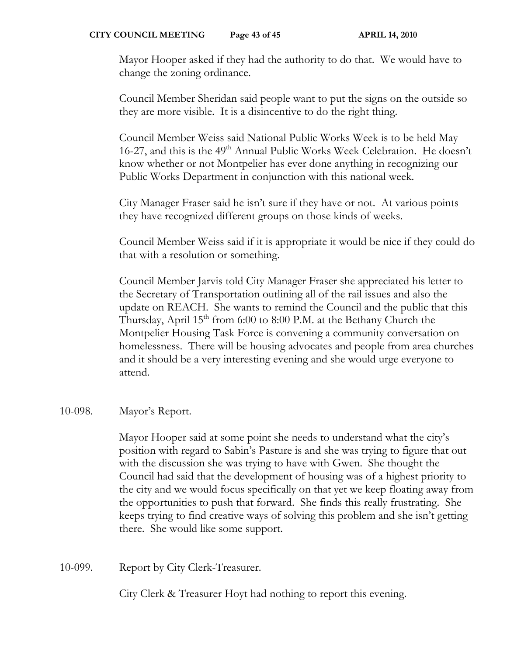Mayor Hooper asked if they had the authority to do that. We would have to change the zoning ordinance.

Council Member Sheridan said people want to put the signs on the outside so they are more visible. It is a disincentive to do the right thing.

Council Member Weiss said National Public Works Week is to be held May 16-27, and this is the 49<sup>th</sup> Annual Public Works Week Celebration. He doesn't know whether or not Montpelier has ever done anything in recognizing our Public Works Department in conjunction with this national week.

City Manager Fraser said he isn't sure if they have or not. At various points they have recognized different groups on those kinds of weeks.

Council Member Weiss said if it is appropriate it would be nice if they could do that with a resolution or something.

Council Member Jarvis told City Manager Fraser she appreciated his letter to the Secretary of Transportation outlining all of the rail issues and also the update on REACH. She wants to remind the Council and the public that this Thursday, April 15<sup>th</sup> from 6:00 to 8:00 P.M. at the Bethany Church the Montpelier Housing Task Force is convening a community conversation on homelessness. There will be housing advocates and people from area churches and it should be a very interesting evening and she would urge everyone to attend.

# 10-098. Mayor's Report.

Mayor Hooper said at some point she needs to understand what the city's position with regard to Sabin's Pasture is and she was trying to figure that out with the discussion she was trying to have with Gwen. She thought the Council had said that the development of housing was of a highest priority to the city and we would focus specifically on that yet we keep floating away from the opportunities to push that forward. She finds this really frustrating. She keeps trying to find creative ways of solving this problem and she isn't getting there. She would like some support.

10-099. Report by City Clerk-Treasurer.

City Clerk & Treasurer Hoyt had nothing to report this evening.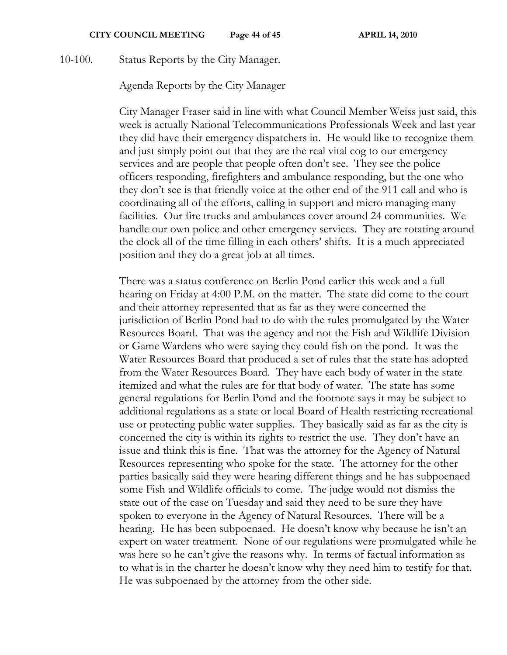10-100. Status Reports by the City Manager.

Agenda Reports by the City Manager

City Manager Fraser said in line with what Council Member Weiss just said, this week is actually National Telecommunications Professionals Week and last year they did have their emergency dispatchers in. He would like to recognize them and just simply point out that they are the real vital cog to our emergency services and are people that people often don't see. They see the police officers responding, firefighters and ambulance responding, but the one who they don't see is that friendly voice at the other end of the 911 call and who is coordinating all of the efforts, calling in support and micro managing many facilities. Our fire trucks and ambulances cover around 24 communities. We handle our own police and other emergency services. They are rotating around the clock all of the time filling in each others' shifts. It is a much appreciated position and they do a great job at all times.

There was a status conference on Berlin Pond earlier this week and a full hearing on Friday at 4:00 P.M. on the matter. The state did come to the court and their attorney represented that as far as they were concerned the jurisdiction of Berlin Pond had to do with the rules promulgated by the Water Resources Board. That was the agency and not the Fish and Wildlife Division or Game Wardens who were saying they could fish on the pond. It was the Water Resources Board that produced a set of rules that the state has adopted from the Water Resources Board. They have each body of water in the state itemized and what the rules are for that body of water. The state has some general regulations for Berlin Pond and the footnote says it may be subject to additional regulations as a state or local Board of Health restricting recreational use or protecting public water supplies. They basically said as far as the city is concerned the city is within its rights to restrict the use. They don't have an issue and think this is fine. That was the attorney for the Agency of Natural Resources representing who spoke for the state. The attorney for the other parties basically said they were hearing different things and he has subpoenaed some Fish and Wildlife officials to come. The judge would not dismiss the state out of the case on Tuesday and said they need to be sure they have spoken to everyone in the Agency of Natural Resources. There will be a hearing. He has been subpoenaed. He doesn't know why because he isn't an expert on water treatment. None of our regulations were promulgated while he was here so he can't give the reasons why. In terms of factual information as to what is in the charter he doesn't know why they need him to testify for that. He was subpoenaed by the attorney from the other side.